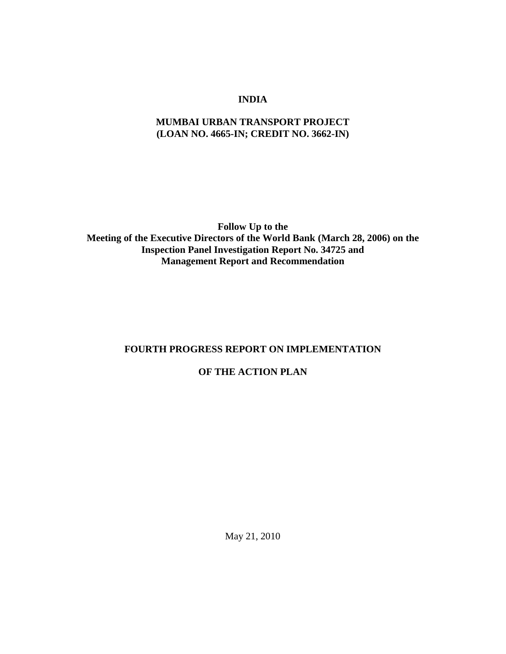## **INDIA**

## **MUMBAI URBAN TRANSPORT PROJECT (LOAN NO. 4665-IN; CREDIT NO. 3662-IN)**

**Follow Up to the Meeting of the Executive Directors of the World Bank (March 28, 2006) on the Inspection Panel Investigation Report No. 34725 and Management Report and Recommendation**

# **FOURTH PROGRESS REPORT ON IMPLEMENTATION**

# **OF THE ACTION PLAN**

May 21, 2010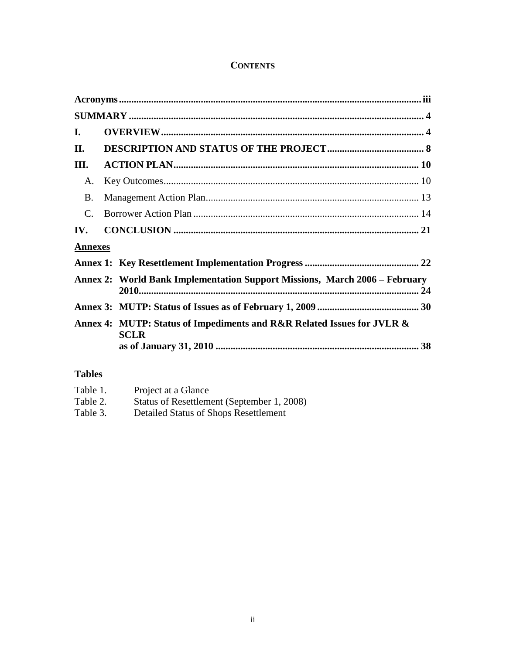# **CONTENTS**

| B.             |             |                                                                                                                                                      |  |  |  |
|----------------|-------------|------------------------------------------------------------------------------------------------------------------------------------------------------|--|--|--|
|                |             |                                                                                                                                                      |  |  |  |
|                |             |                                                                                                                                                      |  |  |  |
| <b>Annexes</b> |             |                                                                                                                                                      |  |  |  |
|                |             |                                                                                                                                                      |  |  |  |
|                |             |                                                                                                                                                      |  |  |  |
|                |             |                                                                                                                                                      |  |  |  |
|                | <b>SCLR</b> |                                                                                                                                                      |  |  |  |
|                |             | Annex 2: World Bank Implementation Support Missions, March 2006 – February<br>Annex 4: MUTP: Status of Impediments and R&R Related Issues for JVLR & |  |  |  |

# **Tables**

| Table 1. | Project at a Glance                        |
|----------|--------------------------------------------|
| Table 2. | Status of Resettlement (September 1, 2008) |
| Table 3. | Detailed Status of Shops Resettlement      |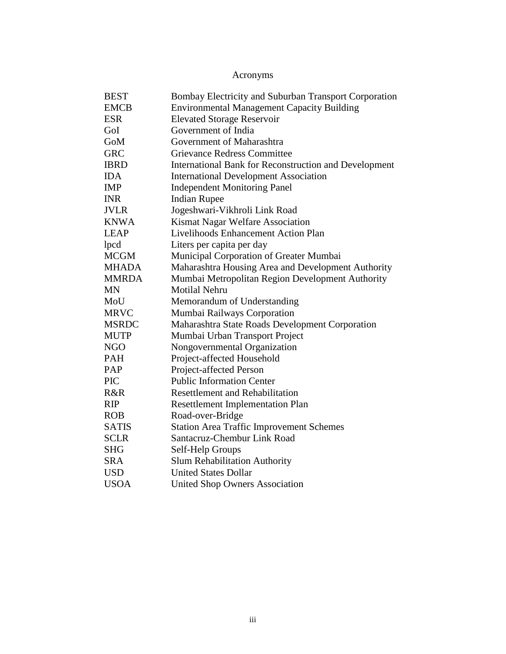Acronyms

<span id="page-2-0"></span>

| <b>BEST</b>  | Bombay Electricity and Suburban Transport Corporation |
|--------------|-------------------------------------------------------|
| <b>EMCB</b>  | <b>Environmental Management Capacity Building</b>     |
| <b>ESR</b>   | <b>Elevated Storage Reservoir</b>                     |
| GoI          | Government of India                                   |
| GoM          | Government of Maharashtra                             |
| <b>GRC</b>   | <b>Grievance Redress Committee</b>                    |
| <b>IBRD</b>  | International Bank for Reconstruction and Development |
| <b>IDA</b>   | <b>International Development Association</b>          |
| <b>IMP</b>   | <b>Independent Monitoring Panel</b>                   |
| <b>INR</b>   | <b>Indian Rupee</b>                                   |
| <b>JVLR</b>  | Jogeshwari-Vikhroli Link Road                         |
| <b>KNWA</b>  | Kismat Nagar Welfare Association                      |
| <b>LEAP</b>  | Livelihoods Enhancement Action Plan                   |
| lpcd         | Liters per capita per day                             |
| <b>MCGM</b>  | Municipal Corporation of Greater Mumbai               |
| <b>MHADA</b> | Maharashtra Housing Area and Development Authority    |
| <b>MMRDA</b> | Mumbai Metropolitan Region Development Authority      |
| <b>MN</b>    | <b>Motilal Nehru</b>                                  |
| MoU          | Memorandum of Understanding                           |
| <b>MRVC</b>  | Mumbai Railways Corporation                           |
| <b>MSRDC</b> | Maharashtra State Roads Development Corporation       |
| <b>MUTP</b>  | Mumbai Urban Transport Project                        |
| <b>NGO</b>   | Nongovernmental Organization                          |
| <b>PAH</b>   | Project-affected Household                            |
| <b>PAP</b>   | Project-affected Person                               |
| <b>PIC</b>   | <b>Public Information Center</b>                      |
| R&R          | <b>Resettlement and Rehabilitation</b>                |
| <b>RIP</b>   | <b>Resettlement Implementation Plan</b>               |
| <b>ROB</b>   | Road-over-Bridge                                      |
| <b>SATIS</b> | <b>Station Area Traffic Improvement Schemes</b>       |
| <b>SCLR</b>  | Santacruz-Chembur Link Road                           |
| <b>SHG</b>   | Self-Help Groups                                      |
| <b>SRA</b>   | <b>Slum Rehabilitation Authority</b>                  |
| <b>USD</b>   | <b>United States Dollar</b>                           |
| <b>USOA</b>  | <b>United Shop Owners Association</b>                 |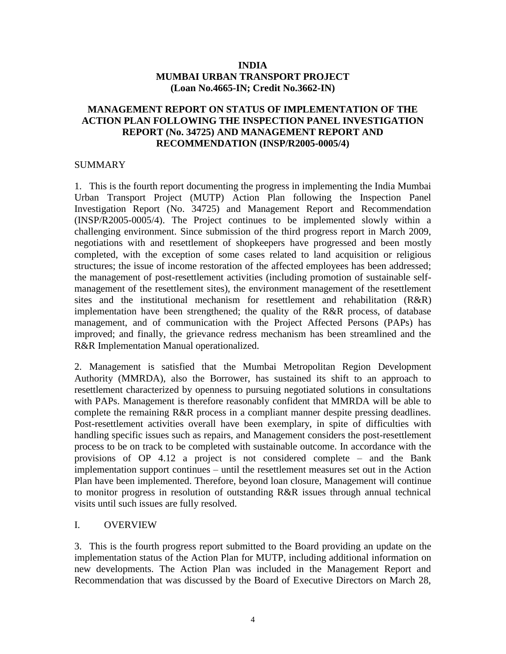### **INDIA MUMBAI URBAN TRANSPORT PROJECT (Loan No.4665-IN; Credit No.3662-IN)**

### **MANAGEMENT REPORT ON STATUS OF IMPLEMENTATION OF THE ACTION PLAN FOLLOWING THE INSPECTION PANEL INVESTIGATION REPORT (No. 34725) AND MANAGEMENT REPORT AND RECOMMENDATION (INSP/R2005-0005/4)**

### <span id="page-3-0"></span>**SUMMARY**

1. This is the fourth report documenting the progress in implementing the India Mumbai Urban Transport Project (MUTP) Action Plan following the Inspection Panel Investigation Report (No. 34725) and Management Report and Recommendation (INSP/R2005-0005/4). The Project continues to be implemented slowly within a challenging environment. Since submission of the third progress report in March 2009, negotiations with and resettlement of shopkeepers have progressed and been mostly completed, with the exception of some cases related to land acquisition or religious structures; the issue of income restoration of the affected employees has been addressed; the management of post-resettlement activities (including promotion of sustainable selfmanagement of the resettlement sites), the environment management of the resettlement sites and the institutional mechanism for resettlement and rehabilitation  $(R\&R)$ implementation have been strengthened; the quality of the R&R process, of database management, and of communication with the Project Affected Persons (PAPs) has improved; and finally, the grievance redress mechanism has been streamlined and the R&R Implementation Manual operationalized.

2. Management is satisfied that the Mumbai Metropolitan Region Development Authority (MMRDA), also the Borrower, has sustained its shift to an approach to resettlement characterized by openness to pursuing negotiated solutions in consultations with PAPs. Management is therefore reasonably confident that MMRDA will be able to complete the remaining R&R process in a compliant manner despite pressing deadlines. Post-resettlement activities overall have been exemplary, in spite of difficulties with handling specific issues such as repairs, and Management considers the post-resettlement process to be on track to be completed with sustainable outcome. In accordance with the provisions of OP 4.12 a project is not considered complete – and the Bank implementation support continues – until the resettlement measures set out in the Action Plan have been implemented. Therefore, beyond loan closure, Management will continue to monitor progress in resolution of outstanding R&R issues through annual technical visits until such issues are fully resolved.

### <span id="page-3-1"></span>I. OVERVIEW

3. This is the fourth progress report submitted to the Board providing an update on the implementation status of the Action Plan for MUTP, including additional information on new developments. The Action Plan was included in the Management Report and Recommendation that was discussed by the Board of Executive Directors on March 28,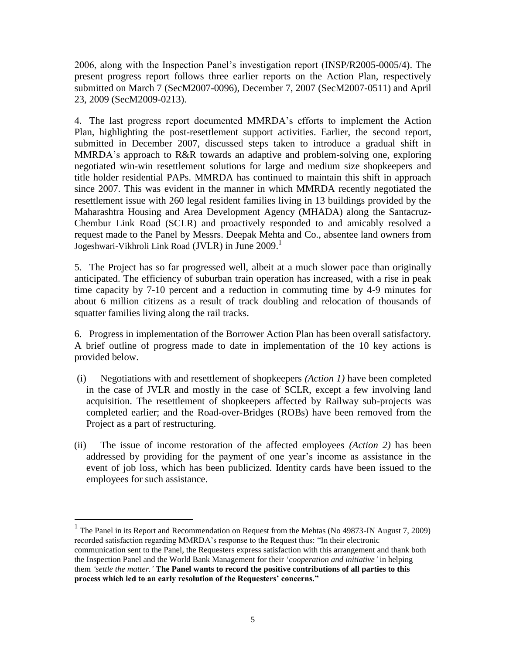2006, along with the Inspection Panel"s investigation report (INSP/R2005-0005/4). The present progress report follows three earlier reports on the Action Plan, respectively submitted on March 7 (SecM2007-0096), December 7, 2007 (SecM2007-0511) and April 23, 2009 (SecM2009-0213).

4. The last progress report documented MMRDA"s efforts to implement the Action Plan, highlighting the post-resettlement support activities. Earlier, the second report, submitted in December 2007, discussed steps taken to introduce a gradual shift in MMRDA"s approach to R&R towards an adaptive and problem-solving one, exploring negotiated win-win resettlement solutions for large and medium size shopkeepers and title holder residential PAPs. MMRDA has continued to maintain this shift in approach since 2007. This was evident in the manner in which MMRDA recently negotiated the resettlement issue with 260 legal resident families living in 13 buildings provided by the Maharashtra Housing and Area Development Agency (MHADA) along the Santacruz-Chembur Link Road (SCLR) and proactively responded to and amicably resolved a request made to the Panel by Messrs. Deepak Mehta and Co., absentee land owners from Jogeshwari-Vikhroli Link Road (JVLR) in June 2009. 1

5. The Project has so far progressed well, albeit at a much slower pace than originally anticipated. The efficiency of suburban train operation has increased, with a rise in peak time capacity by 7-10 percent and a reduction in commuting time by 4-9 minutes for about 6 million citizens as a result of track doubling and relocation of thousands of squatter families living along the rail tracks.

6. Progress in implementation of the Borrower Action Plan has been overall satisfactory. A brief outline of progress made to date in implementation of the 10 key actions is provided below.

- (i) Negotiations with and resettlement of shopkeepers *(Action 1)* have been completed in the case of JVLR and mostly in the case of SCLR, except a few involving land acquisition. The resettlement of shopkeepers affected by Railway sub-projects was completed earlier; and the Road-over-Bridges (ROBs) have been removed from the Project as a part of restructuring.
- (ii) The issue of income restoration of the affected employees *(Action 2)* has been addressed by providing for the payment of one year"s income as assistance in the event of job loss, which has been publicized. Identity cards have been issued to the employees for such assistance.

<sup>&</sup>lt;sup>1</sup> The Panel in its Report and Recommendation on Request from the Mehtas (No 49873-IN August 7, 2009) recorded satisfaction regarding MMRDA"s response to the Request thus: "In their electronic communication sent to the Panel, the Requesters express satisfaction with this arrangement and thank both the Inspection Panel and the World Bank Management for their "*cooperation and initiative'* in helping them *'settle the matter.'* **The Panel wants to record the positive contributions of all parties to this process which led to an early resolution of the Requesters' concerns."**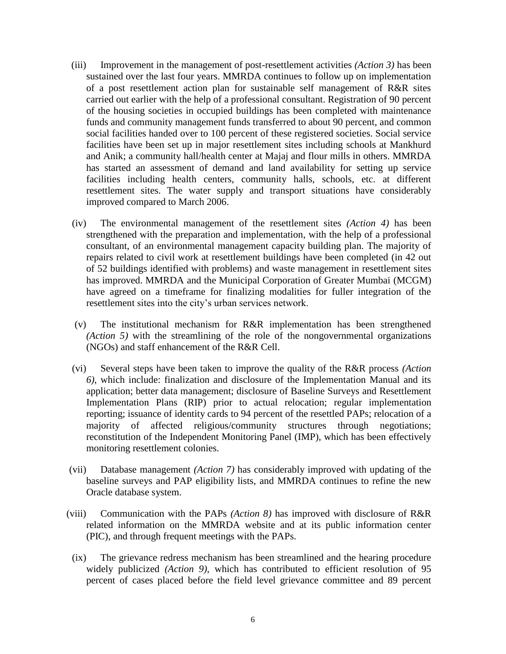- (iii) Improvement in the management of post-resettlement activities *(Action 3)* has been sustained over the last four years. MMRDA continues to follow up on implementation of a post resettlement action plan for sustainable self management of R&R sites carried out earlier with the help of a professional consultant. Registration of 90 percent of the housing societies in occupied buildings has been completed with maintenance funds and community management funds transferred to about 90 percent, and common social facilities handed over to 100 percent of these registered societies. Social service facilities have been set up in major resettlement sites including schools at Mankhurd and Anik; a community hall/health center at Majaj and flour mills in others. MMRDA has started an assessment of demand and land availability for setting up service facilities including health centers, community halls, schools, etc. at different resettlement sites. The water supply and transport situations have considerably improved compared to March 2006.
- (iv) The environmental management of the resettlement sites *(Action 4)* has been strengthened with the preparation and implementation, with the help of a professional consultant, of an environmental management capacity building plan. The majority of repairs related to civil work at resettlement buildings have been completed (in 42 out of 52 buildings identified with problems) and waste management in resettlement sites has improved. MMRDA and the Municipal Corporation of Greater Mumbai (MCGM) have agreed on a timeframe for finalizing modalities for fuller integration of the resettlement sites into the city"s urban services network.
- (v) The institutional mechanism for R&R implementation has been strengthened *(Action 5)* with the streamlining of the role of the nongovernmental organizations (NGOs) and staff enhancement of the R&R Cell.
- (vi) Several steps have been taken to improve the quality of the R&R process *(Action 6)*, which include: finalization and disclosure of the Implementation Manual and its application; better data management; disclosure of Baseline Surveys and Resettlement Implementation Plans (RIP) prior to actual relocation; regular implementation reporting; issuance of identity cards to 94 percent of the resettled PAPs; relocation of a majority of affected religious/community structures through negotiations; reconstitution of the Independent Monitoring Panel (IMP), which has been effectively monitoring resettlement colonies.
- (vii) Database management *(Action 7)* has considerably improved with updating of the baseline surveys and PAP eligibility lists, and MMRDA continues to refine the new Oracle database system.
- (viii) Communication with the PAPs *(Action 8)* has improved with disclosure of R&R related information on the MMRDA website and at its public information center (PIC), and through frequent meetings with the PAPs.
	- (ix) The grievance redress mechanism has been streamlined and the hearing procedure widely publicized *(Action 9)*, which has contributed to efficient resolution of 95 percent of cases placed before the field level grievance committee and 89 percent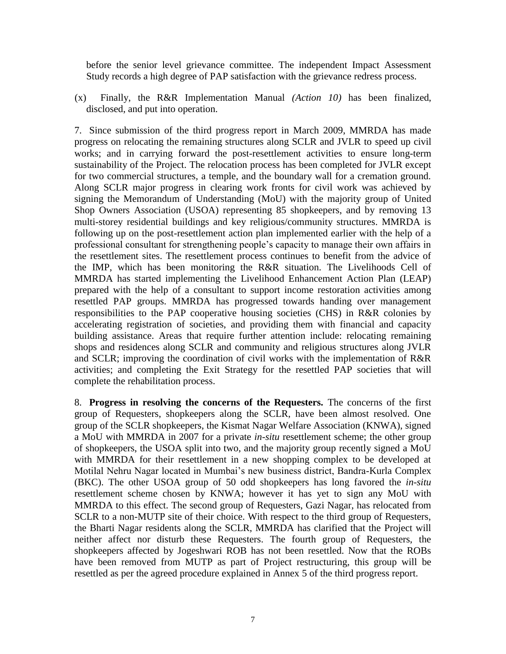before the senior level grievance committee. The independent Impact Assessment Study records a high degree of PAP satisfaction with the grievance redress process.

(x) Finally, the R&R Implementation Manual *(Action 10)* has been finalized, disclosed, and put into operation.

7. Since submission of the third progress report in March 2009, MMRDA has made progress on relocating the remaining structures along SCLR and JVLR to speed up civil works; and in carrying forward the post-resettlement activities to ensure long-term sustainability of the Project. The relocation process has been completed for JVLR except for two commercial structures, a temple, and the boundary wall for a cremation ground. Along SCLR major progress in clearing work fronts for civil work was achieved by signing the Memorandum of Understanding (MoU) with the majority group of United Shop Owners Association (USOA) representing 85 shopkeepers, and by removing 13 multi-storey residential buildings and key religious/community structures. MMRDA is following up on the post-resettlement action plan implemented earlier with the help of a professional consultant for strengthening people"s capacity to manage their own affairs in the resettlement sites. The resettlement process continues to benefit from the advice of the IMP, which has been monitoring the R&R situation. The Livelihoods Cell of MMRDA has started implementing the Livelihood Enhancement Action Plan (LEAP) prepared with the help of a consultant to support income restoration activities among resettled PAP groups. MMRDA has progressed towards handing over management responsibilities to the PAP cooperative housing societies (CHS) in R&R colonies by accelerating registration of societies, and providing them with financial and capacity building assistance. Areas that require further attention include: relocating remaining shops and residences along SCLR and community and religious structures along JVLR and SCLR; improving the coordination of civil works with the implementation of R&R activities; and completing the Exit Strategy for the resettled PAP societies that will complete the rehabilitation process.

8. **Progress in resolving the concerns of the Requesters.** The concerns of the first group of Requesters, shopkeepers along the SCLR, have been almost resolved. One group of the SCLR shopkeepers, the Kismat Nagar Welfare Association (KNWA), signed a MoU with MMRDA in 2007 for a private *in-situ* resettlement scheme; the other group of shopkeepers, the USOA split into two, and the majority group recently signed a MoU with MMRDA for their resettlement in a new shopping complex to be developed at Motilal Nehru Nagar located in Mumbai"s new business district, Bandra-Kurla Complex (BKC). The other USOA group of 50 odd shopkeepers has long favored the *in-situ* resettlement scheme chosen by KNWA; however it has yet to sign any MoU with MMRDA to this effect. The second group of Requesters, Gazi Nagar, has relocated from SCLR to a non-MUTP site of their choice. With respect to the third group of Requesters, the Bharti Nagar residents along the SCLR, MMRDA has clarified that the Project will neither affect nor disturb these Requesters. The fourth group of Requesters, the shopkeepers affected by Jogeshwari ROB has not been resettled. Now that the ROBs have been removed from MUTP as part of Project restructuring, this group will be resettled as per the agreed procedure explained in Annex 5 of the third progress report.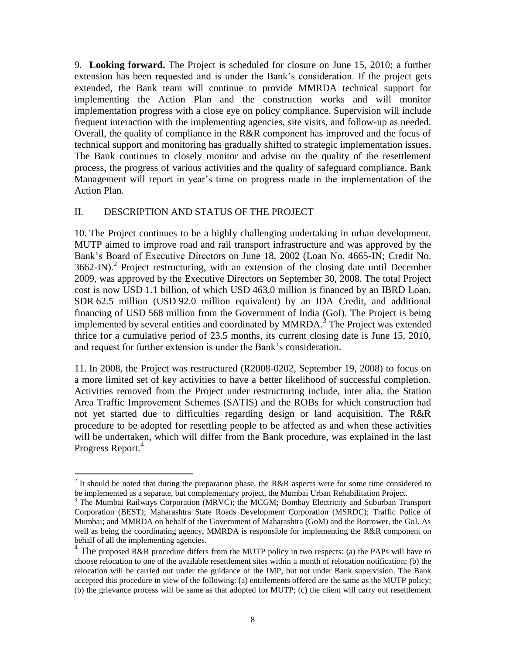9. **Looking forward.** The Project is scheduled for closure on June 15, 2010; a further extension has been requested and is under the Bank"s consideration. If the project gets extended, the Bank team will continue to provide MMRDA technical support for implementing the Action Plan and the construction works and will monitor implementation progress with a close eye on policy compliance. Supervision will include frequent interaction with the implementing agencies, site visits, and follow-up as needed. Overall, the quality of compliance in the R&R component has improved and the focus of technical support and monitoring has gradually shifted to strategic implementation issues. The Bank continues to closely monitor and advise on the quality of the resettlement process, the progress of various activities and the quality of safeguard compliance. Bank Management will report in year's time on progress made in the implementation of the Action Plan.

### <span id="page-7-0"></span>II. DESCRIPTION AND STATUS OF THE PROJECT

10. The Project continues to be a highly challenging undertaking in urban development. MUTP aimed to improve road and rail transport infrastructure and was approved by the Bank"s Board of Executive Directors on June 18, 2002 (Loan No. 4665-IN; Credit No.  $3662$ -IN).<sup>2</sup> Project restructuring, with an extension of the closing date until December 2009, was approved by the Executive Directors on September 30, 2008. The total Project cost is now USD 1.1 billion, of which USD 463.0 million is financed by an IBRD Loan, SDR 62.5 million (USD 92.0 million equivalent) by an IDA Credit, and additional financing of USD 568 million from the Government of India (GoI). The Project is being implemented by several entities and coordinated by MMRDA.<sup>3</sup> The Project was extended thrice for a cumulative period of 23.5 months, its current closing date is June 15, 2010, and request for further extension is under the Bank"s consideration.

11. In 2008, the Project was restructured (R2008-0202, September 19, 2008) to focus on a more limited set of key activities to have a better likelihood of successful completion. Activities removed from the Project under restructuring include, inter alia, the Station Area Traffic Improvement Schemes (SATIS) and the ROBs for which construction had not yet started due to difficulties regarding design or land acquisition. The R&R procedure to be adopted for resettling people to be affected as and when these activities will be undertaken, which will differ from the Bank procedure, was explained in the last Progress Report.<sup>4</sup>

<sup>&</sup>lt;sup>2</sup> It should be noted that during the preparation phase, the R&R aspects were for some time considered to be implemented as a separate, but complementary project, the Mumbai Urban Rehabilitation Project.

 $3$  The Mumbai Railways Corporation (MRVC); the MCGM; Bombay Electricity and Suburban Transport Corporation (BEST); Maharashtra State Roads Development Corporation (MSRDC); Traffic Police of Mumbai; and MMRDA on behalf of the Government of Maharashtra (GoM) and the Borrower, the GoI. As well as being the coordinating agency, MMRDA is responsible for implementing the R&R component on behalf of all the implementing agencies.

<sup>&</sup>lt;sup>4</sup> The proposed R&R procedure differs from the MUTP policy in two respects: (a) the PAPs will have to choose relocation to one of the available resettlement sites within a month of relocation notification; (b) the relocation will be carried out under the guidance of the IMP, but not under Bank supervision. The Bank accepted this procedure in view of the following: (a) entitlements offered are the same as the MUTP policy; (b) the grievance process will be same as that adopted for MUTP; (c) the client will carry out resettlement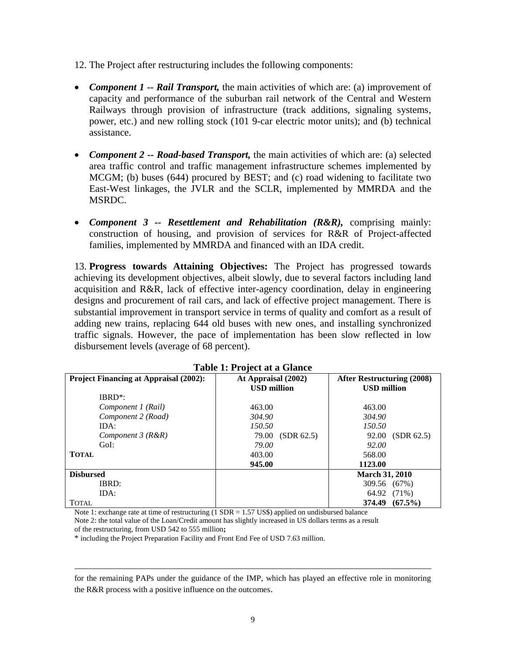- 12. The Project after restructuring includes the following components:
- *Component 1 -- Rail Transport,* the main activities of which are: (a) improvement of capacity and performance of the suburban rail network of the Central and Western Railways through provision of infrastructure (track additions, signaling systems, power, etc.) and new rolling stock (101 9-car electric motor units); and (b) technical assistance.
- *Component 2 -- Road-based Transport,* the main activities of which are: (a) selected area traffic control and traffic management infrastructure schemes implemented by MCGM; (b) buses (644) procured by BEST; and (c) road widening to facilitate two East-West linkages, the JVLR and the SCLR, implemented by MMRDA and the MSRDC.
- *Component 3 -- Resettlement and Rehabilitation (R&R),* comprising mainly: construction of housing, and provision of services for R&R of Project-affected families, implemented by MMRDA and financed with an IDA credit.

13. **Progress towards Attaining Objectives:** The Project has progressed towards achieving its development objectives, albeit slowly, due to several factors including land acquisition and R&R, lack of effective inter-agency coordination, delay in engineering designs and procurement of rail cars, and lack of effective project management. There is substantial improvement in transport service in terms of quality and comfort as a result of adding new trains, replacing 644 old buses with new ones, and installing synchronized traffic signals. However, the pace of implementation has been slow reflected in low disbursement levels (average of 68 percent).

|                                               | Table 1. I ruject at a Giance |                                   |
|-----------------------------------------------|-------------------------------|-----------------------------------|
| <b>Project Financing at Appraisal (2002):</b> | At Appraisal (2002)           | <b>After Restructuring (2008)</b> |
|                                               | <b>USD</b> million            | <b>USD</b> million                |
| IBRD <sup>*</sup> :                           |                               |                                   |
| Component 1 (Rail)                            | 463.00                        | 463.00                            |
| Component 2 (Road)                            | 304.90                        | 304.90                            |
| IDA:                                          | 150.50                        | 150.50                            |
| Component $3(R\&R)$                           | (SDR 62.5)<br>79.00           | (SDR 62.5)<br>92.00               |
| GoI:                                          | 79.00                         | 92.00                             |
| <b>TOTAL</b>                                  | 403.00                        | 568.00                            |
|                                               | 945.00                        | 1123.00                           |
| <b>Disbursed</b>                              |                               | <b>March 31, 2010</b>             |
| IBRD:                                         |                               | 309.56 (67%)                      |
| IDA:                                          |                               | 64.92 (71%)                       |
| <b>TOTAL</b>                                  |                               | $(67.5\%)$<br>374.49              |

| <b>Table 1: Project at a Glance</b> |  |
|-------------------------------------|--|
|-------------------------------------|--|

Note 1: exchange rate at time of restructuring  $(1 SDR = 1.57 US\$  applied on undisbursed balance

Note 2: the total value of the Loan/Credit amount has slightly increased in US dollars terms as a result of the restructuring, from USD 542 to 555 million**;**

\* including the Project Preparation Facility and Front End Fee of USD 7.63 million.

 $\overline{a}$ 

for the remaining PAPs under the guidance of the IMP, which has played an effective role in monitoring the R&R process with a positive influence on the outcomes.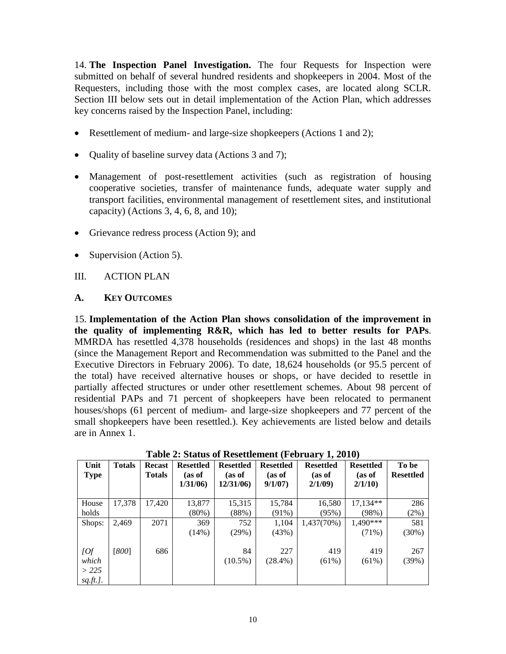14. **The Inspection Panel Investigation.** The four Requests for Inspection were submitted on behalf of several hundred residents and shopkeepers in 2004. Most of the Requesters, including those with the most complex cases, are located along SCLR. Section III below sets out in detail implementation of the Action Plan, which addresses key concerns raised by the Inspection Panel, including:

- Resettlement of medium- and large-size shopkeepers (Actions 1 and 2);
- Quality of baseline survey data (Actions 3 and 7);
- Management of post-resettlement activities (such as registration of housing cooperative societies, transfer of maintenance funds, adequate water supply and transport facilities, environmental management of resettlement sites, and institutional capacity) (Actions 3, 4, 6, 8, and 10);
- Grievance redress process (Action 9); and
- Supervision (Action 5).

## <span id="page-9-0"></span>III. ACTION PLAN

### <span id="page-9-1"></span>**A. KEY OUTCOMES**

15. **Implementation of the Action Plan shows consolidation of the improvement in the quality of implementing R&R, which has led to better results for PAPs**. MMRDA has resettled 4,378 households (residences and shops) in the last 48 months (since the Management Report and Recommendation was submitted to the Panel and the Executive Directors in February 2006). To date, 18,624 households (or 95.5 percent of the total) have received alternative houses or shops, or have decided to resettle in partially affected structures or under other resettlement schemes. About 98 percent of residential PAPs and 71 percent of shopkeepers have been relocated to permanent houses/shops (61 percent of medium- and large-size shopkeepers and 77 percent of the small shopkeepers have been resettled.). Key achievements are listed below and details are in Annex 1.

| Unit<br>Type     | <b>Totals</b> | <b>Recast</b><br><b>Totals</b> | <b>Resettled</b><br>(as of<br>1/31/06 | <b>Resettled</b><br>(as of<br>12/31/06) | <b>Resettled</b><br>(as of<br>9/1/07 | <b>Resettled</b><br>(as of<br>2/1/09 | <b>Resettled</b><br>(as of<br>2/1/10 | To be<br><b>Resettled</b> |
|------------------|---------------|--------------------------------|---------------------------------------|-----------------------------------------|--------------------------------------|--------------------------------------|--------------------------------------|---------------------------|
|                  |               |                                |                                       |                                         |                                      |                                      |                                      |                           |
| House            | 17,378        | 17,420                         | 13,877                                | 15,315                                  | 15,784                               | 16,580                               | $17.134**$                           | 286                       |
| holds            |               |                                | $(80\%)$                              | (88%)                                   | $(91\%)$                             | (95%)                                | (98%)                                | (2%)                      |
| Shops:           | 2,469         | 2071                           | 369                                   | 752                                     | 1,104                                | 1,437(70%)                           | 1.490***                             | 581                       |
|                  |               |                                | $(14\%)$                              | (29%)                                   | (43%)                                |                                      | $(71\%)$                             | (30%)                     |
|                  |               |                                |                                       |                                         |                                      |                                      |                                      |                           |
| [Of]             | [800]         | 686                            |                                       | 84                                      | 227                                  | 419                                  | 419                                  | 267                       |
| which            |               |                                |                                       | $(10.5\%)$                              | $(28.4\%)$                           | $(61\%)$                             | $(61\%)$                             | (39%)                     |
| >225             |               |                                |                                       |                                         |                                      |                                      |                                      |                           |
| <u>sq.ft.]</u> . |               |                                |                                       |                                         |                                      |                                      |                                      |                           |

**Table 2: Status of Resettlement (February 1, 2010)**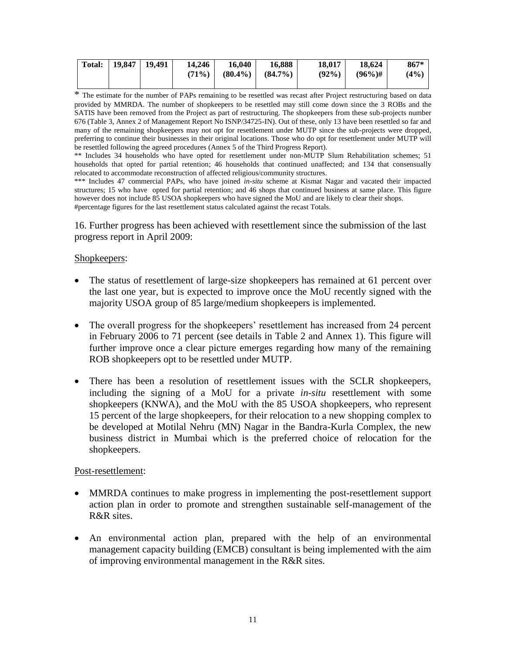| <b>Total:</b> | $19,847$   19,491 | 14.246   | 16.040     | 16.888     | 18.017   | 18.624     | $867*$ |
|---------------|-------------------|----------|------------|------------|----------|------------|--------|
|               |                   | $(71\%)$ | $(80.4\%)$ | $(84.7\%)$ | $(92\%)$ | $(96\%)$ # | (4%)   |
|               |                   |          |            |            |          |            |        |

\* The estimate for the number of PAPs remaining to be resettled was recast after Project restructuring based on data provided by MMRDA. The number of shopkeepers to be resettled may still come down since the 3 ROBs and the SATIS have been removed from the Project as part of restructuring. The shopkeepers from these sub-projects number 676 (Table 3, Annex 2 of Management Report No ISNP/34725-IN). Out of these, only 13 have been resettled so far and many of the remaining shopkeepers may not opt for resettlement under MUTP since the sub-projects were dropped, preferring to continue their businesses in their original locations. Those who do opt for resettlement under MUTP will be resettled following the agreed procedures (Annex 5 of the Third Progress Report).

\*\* Includes 34 households who have opted for resettlement under non-MUTP Slum Rehabilitation schemes; 51 households that opted for partial retention; 46 households that continued unaffected; and 134 that consensually relocated to accommodate reconstruction of affected religious/community structures.

\*\*\* Includes 47 commercial PAPs, who have joined *in-situ* scheme at Kismat Nagar and vacated their impacted structures; 15 who have opted for partial retention; and 46 shops that continued business at same place. This figure however does not include 85 USOA shopkeepers who have signed the MoU and are likely to clear their shops. #percentage figures for the last resettlement status calculated against the recast Totals.

16. Further progress has been achieved with resettlement since the submission of the last progress report in April 2009:

### Shopkeepers:

- The status of resettlement of large-size shopkeepers has remained at 61 percent over the last one year, but is expected to improve once the MoU recently signed with the majority USOA group of 85 large/medium shopkeepers is implemented.
- The overall progress for the shopkeepers' resettlement has increased from 24 percent in February 2006 to 71 percent (see details in Table 2 and Annex 1). This figure will further improve once a clear picture emerges regarding how many of the remaining ROB shopkeepers opt to be resettled under MUTP.
- There has been a resolution of resettlement issues with the SCLR shopkeepers, including the signing of a MoU for a private *in-situ* resettlement with some shopkeepers (KNWA), and the MoU with the 85 USOA shopkeepers, who represent 15 percent of the large shopkeepers, for their relocation to a new shopping complex to be developed at Motilal Nehru (MN) Nagar in the Bandra-Kurla Complex, the new business district in Mumbai which is the preferred choice of relocation for the shopkeepers.

### Post-resettlement:

- MMRDA continues to make progress in implementing the post-resettlement support action plan in order to promote and strengthen sustainable self-management of the R&R sites.
- An environmental action plan, prepared with the help of an environmental management capacity building (EMCB) consultant is being implemented with the aim of improving environmental management in the R&R sites.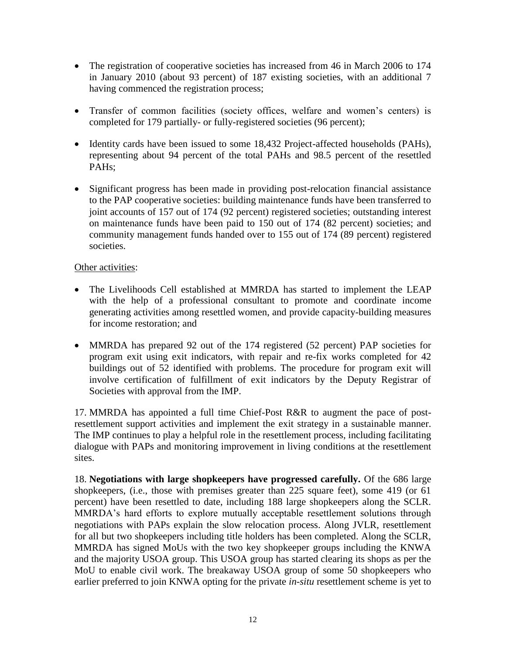- The registration of cooperative societies has increased from 46 in March 2006 to 174 in January 2010 (about 93 percent) of 187 existing societies, with an additional 7 having commenced the registration process;
- Transfer of common facilities (society offices, welfare and women's centers) is completed for 179 partially- or fully-registered societies (96 percent);
- Identity cards have been issued to some 18,432 Project-affected households (PAHs), representing about 94 percent of the total PAHs and 98.5 percent of the resettled PAHs;
- Significant progress has been made in providing post-relocation financial assistance to the PAP cooperative societies: building maintenance funds have been transferred to joint accounts of 157 out of 174 (92 percent) registered societies; outstanding interest on maintenance funds have been paid to 150 out of 174 (82 percent) societies; and community management funds handed over to 155 out of 174 (89 percent) registered societies.

# Other activities:

- The Livelihoods Cell established at MMRDA has started to implement the LEAP with the help of a professional consultant to promote and coordinate income generating activities among resettled women, and provide capacity-building measures for income restoration; and
- MMRDA has prepared 92 out of the 174 registered (52 percent) PAP societies for program exit using exit indicators, with repair and re-fix works completed for 42 buildings out of 52 identified with problems. The procedure for program exit will involve certification of fulfillment of exit indicators by the Deputy Registrar of Societies with approval from the IMP.

17. MMRDA has appointed a full time Chief-Post R&R to augment the pace of postresettlement support activities and implement the exit strategy in a sustainable manner. The IMP continues to play a helpful role in the resettlement process, including facilitating dialogue with PAPs and monitoring improvement in living conditions at the resettlement sites.

18. **Negotiations with large shopkeepers have progressed carefully.** Of the 686 large shopkeepers, (i.e., those with premises greater than 225 square feet), some 419 (or 61 percent) have been resettled to date, including 188 large shopkeepers along the SCLR. MMRDA"s hard efforts to explore mutually acceptable resettlement solutions through negotiations with PAPs explain the slow relocation process. Along JVLR, resettlement for all but two shopkeepers including title holders has been completed. Along the SCLR, MMRDA has signed MoUs with the two key shopkeeper groups including the KNWA and the majority USOA group. This USOA group has started clearing its shops as per the MoU to enable civil work. The breakaway USOA group of some 50 shopkeepers who earlier preferred to join KNWA opting for the private *in-situ* resettlement scheme is yet to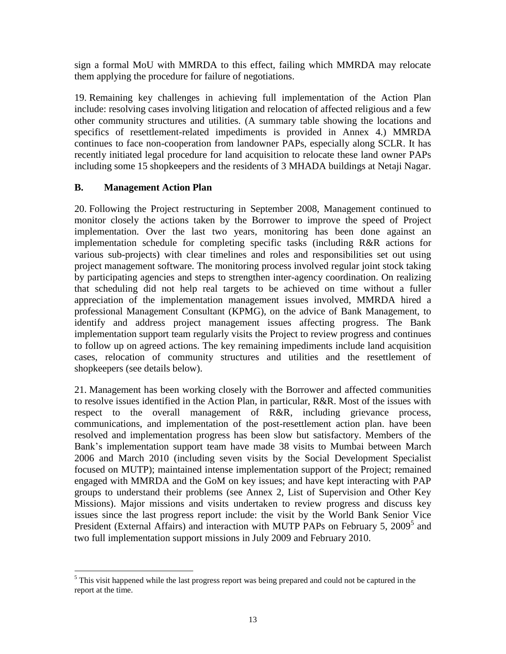sign a formal MoU with MMRDA to this effect, failing which MMRDA may relocate them applying the procedure for failure of negotiations.

19. Remaining key challenges in achieving full implementation of the Action Plan include: resolving cases involving litigation and relocation of affected religious and a few other community structures and utilities. (A summary table showing the locations and specifics of resettlement-related impediments is provided in Annex 4.) MMRDA continues to face non-cooperation from landowner PAPs, especially along SCLR. It has recently initiated legal procedure for land acquisition to relocate these land owner PAPs including some 15 shopkeepers and the residents of 3 MHADA buildings at Netaji Nagar.

# <span id="page-12-0"></span>**B. Management Action Plan**

20. Following the Project restructuring in September 2008, Management continued to monitor closely the actions taken by the Borrower to improve the speed of Project implementation. Over the last two years, monitoring has been done against an implementation schedule for completing specific tasks (including R&R actions for various sub-projects) with clear timelines and roles and responsibilities set out using project management software. The monitoring process involved regular joint stock taking by participating agencies and steps to strengthen inter-agency coordination. On realizing that scheduling did not help real targets to be achieved on time without a fuller appreciation of the implementation management issues involved, MMRDA hired a professional Management Consultant (KPMG), on the advice of Bank Management, to identify and address project management issues affecting progress. The Bank implementation support team regularly visits the Project to review progress and continues to follow up on agreed actions. The key remaining impediments include land acquisition cases, relocation of community structures and utilities and the resettlement of shopkeepers (see details below).

21. Management has been working closely with the Borrower and affected communities to resolve issues identified in the Action Plan, in particular, R&R. Most of the issues with respect to the overall management of R&R, including grievance process, communications, and implementation of the post-resettlement action plan. have been resolved and implementation progress has been slow but satisfactory. Members of the Bank"s implementation support team have made 38 visits to Mumbai between March 2006 and March 2010 (including seven visits by the Social Development Specialist focused on MUTP); maintained intense implementation support of the Project; remained engaged with MMRDA and the GoM on key issues; and have kept interacting with PAP groups to understand their problems (see Annex 2, List of Supervision and Other Key Missions). Major missions and visits undertaken to review progress and discuss key issues since the last progress report include: the visit by the World Bank Senior Vice President (External Affairs) and interaction with MUTP PAPs on February 5, 2009<sup>5</sup> and two full implementation support missions in July 2009 and February 2010.

 $\overline{a}$ <sup>5</sup> This visit happened while the last progress report was being prepared and could not be captured in the report at the time.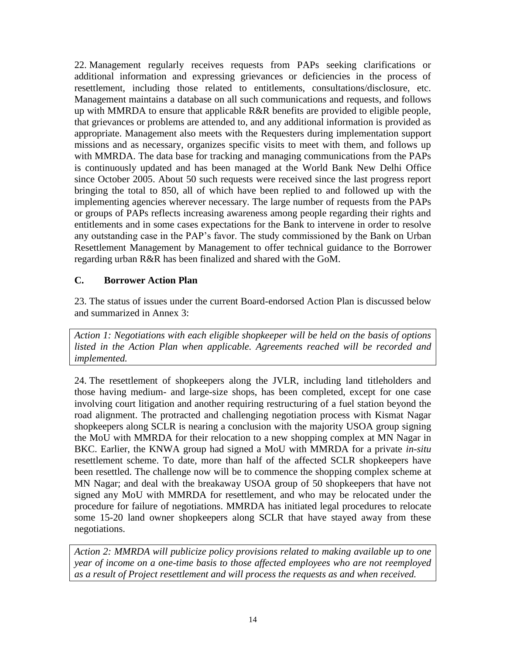22. Management regularly receives requests from PAPs seeking clarifications or additional information and expressing grievances or deficiencies in the process of resettlement, including those related to entitlements, consultations/disclosure, etc. Management maintains a database on all such communications and requests, and follows up with MMRDA to ensure that applicable R&R benefits are provided to eligible people, that grievances or problems are attended to, and any additional information is provided as appropriate. Management also meets with the Requesters during implementation support missions and as necessary, organizes specific visits to meet with them, and follows up with MMRDA. The data base for tracking and managing communications from the PAPs is continuously updated and has been managed at the World Bank New Delhi Office since October 2005. About 50 such requests were received since the last progress report bringing the total to 850, all of which have been replied to and followed up with the implementing agencies wherever necessary. The large number of requests from the PAPs or groups of PAPs reflects increasing awareness among people regarding their rights and entitlements and in some cases expectations for the Bank to intervene in order to resolve any outstanding case in the PAP"s favor. The study commissioned by the Bank on Urban Resettlement Management by Management to offer technical guidance to the Borrower regarding urban R&R has been finalized and shared with the GoM.

# <span id="page-13-0"></span>**C. Borrower Action Plan**

23. The status of issues under the current Board-endorsed Action Plan is discussed below and summarized in Annex 3:

*Action 1: Negotiations with each eligible shopkeeper will be held on the basis of options listed in the Action Plan when applicable. Agreements reached will be recorded and implemented.* 

24. The resettlement of shopkeepers along the JVLR, including land titleholders and those having medium- and large-size shops, has been completed, except for one case involving court litigation and another requiring restructuring of a fuel station beyond the road alignment. The protracted and challenging negotiation process with Kismat Nagar shopkeepers along SCLR is nearing a conclusion with the majority USOA group signing the MoU with MMRDA for their relocation to a new shopping complex at MN Nagar in BKC. Earlier, the KNWA group had signed a MoU with MMRDA for a private *in-situ* resettlement scheme. To date, more than half of the affected SCLR shopkeepers have been resettled. The challenge now will be to commence the shopping complex scheme at MN Nagar; and deal with the breakaway USOA group of 50 shopkeepers that have not signed any MoU with MMRDA for resettlement, and who may be relocated under the procedure for failure of negotiations. MMRDA has initiated legal procedures to relocate some 15-20 land owner shopkeepers along SCLR that have stayed away from these negotiations.

*Action 2: MMRDA will publicize policy provisions related to making available up to one year of income on a one-time basis to those affected employees who are not reemployed as a result of Project resettlement and will process the requests as and when received.*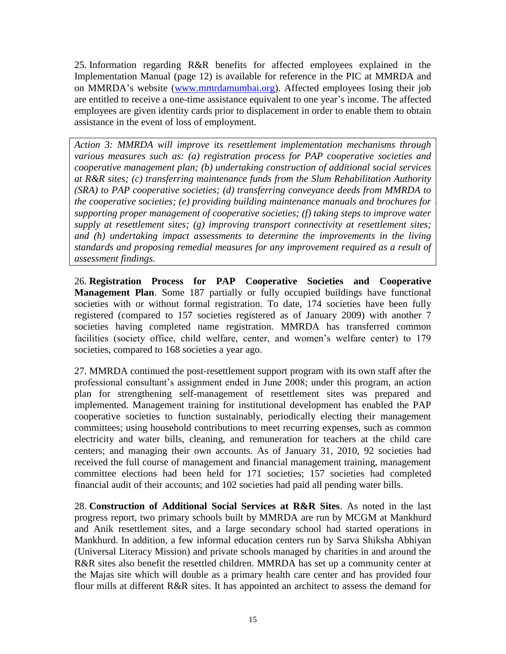25. Information regarding R&R benefits for affected employees explained in the Implementation Manual (page 12) is available for reference in the PIC at MMRDA and on MMRDA"s website [\(www.mmrdamumbai.org\)](http://www.mmrdamumbai.org/). Affected employees losing their job are entitled to receive a one-time assistance equivalent to one year"s income. The affected employees are given identity cards prior to displacement in order to enable them to obtain assistance in the event of loss of employment.

*Action 3: MMRDA will improve its resettlement implementation mechanisms through various measures such as: (a) registration process for PAP cooperative societies and cooperative management plan; (b) undertaking construction of additional social services at R&R sites; (c) transferring maintenance funds from the Slum Rehabilitation Authority (SRA) to PAP cooperative societies; (d) transferring conveyance deeds from MMRDA to the cooperative societies; (e) providing building maintenance manuals and brochures for supporting proper management of cooperative societies; (f) taking steps to improve water supply at resettlement sites; (g) improving transport connectivity at resettlement sites;*  and (h) undertaking impact assessments to determine the improvements in the living *standards and proposing remedial measures for any improvement required as a result of assessment findings.* 

26. **Registration Process for PAP Cooperative Societies and Cooperative Management Plan**. Some 187 partially or fully occupied buildings have functional societies with or without formal registration. To date, 174 societies have been fully registered (compared to 157 societies registered as of January 2009) with another 7 societies having completed name registration. MMRDA has transferred common facilities (society office, child welfare, center, and women"s welfare center) to 179 societies, compared to 168 societies a year ago.

27. MMRDA continued the post-resettlement support program with its own staff after the professional consultant"s assignment ended in June 2008; under this program, an action plan for strengthening self-management of resettlement sites was prepared and implemented. Management training for institutional development has enabled the PAP cooperative societies to function sustainably, periodically electing their management committees; using household contributions to meet recurring expenses, such as common electricity and water bills, cleaning, and remuneration for teachers at the child care centers; and managing their own accounts. As of January 31, 2010, 92 societies had received the full course of management and financial management training, management committee elections had been held for 171 societies; 157 societies had completed financial audit of their accounts; and 102 societies had paid all pending water bills.

28. **Construction of Additional Social Services at R&R Sites**. As noted in the last progress report, two primary schools built by MMRDA are run by MCGM at Mankhurd and Anik resettlement sites, and a large secondary school had started operations in Mankhurd. In addition, a few informal education centers run by Sarva Shiksha Abhiyan (Universal Literacy Mission) and private schools managed by charities in and around the R&R sites also benefit the resettled children. MMRDA has set up a community center at the Majas site which will double as a primary health care center and has provided four flour mills at different R&R sites. It has appointed an architect to assess the demand for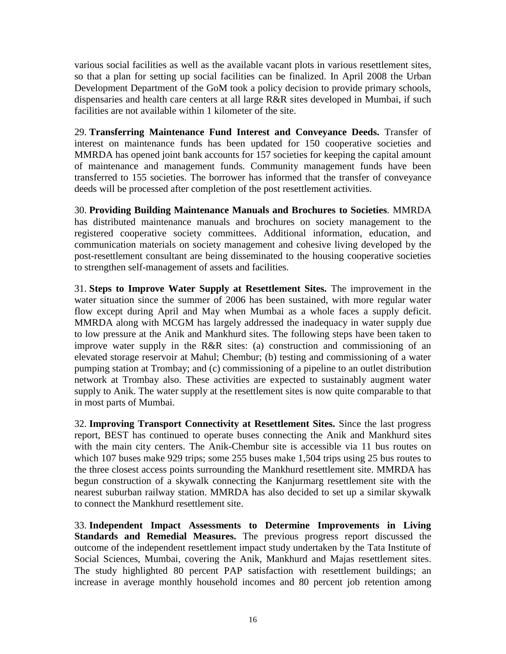various social facilities as well as the available vacant plots in various resettlement sites, so that a plan for setting up social facilities can be finalized. In April 2008 the Urban Development Department of the GoM took a policy decision to provide primary schools, dispensaries and health care centers at all large R&R sites developed in Mumbai, if such facilities are not available within 1 kilometer of the site.

29. **Transferring Maintenance Fund Interest and Conveyance Deeds.** Transfer of interest on maintenance funds has been updated for 150 cooperative societies and MMRDA has opened joint bank accounts for 157 societies for keeping the capital amount of maintenance and management funds. Community management funds have been transferred to 155 societies. The borrower has informed that the transfer of conveyance deeds will be processed after completion of the post resettlement activities.

30. **Providing Building Maintenance Manuals and Brochures to Societies**. MMRDA has distributed maintenance manuals and brochures on society management to the registered cooperative society committees. Additional information, education, and communication materials on society management and cohesive living developed by the post-resettlement consultant are being disseminated to the housing cooperative societies to strengthen self-management of assets and facilities.

31. **Steps to Improve Water Supply at Resettlement Sites.** The improvement in the water situation since the summer of 2006 has been sustained, with more regular water flow except during April and May when Mumbai as a whole faces a supply deficit. MMRDA along with MCGM has largely addressed the inadequacy in water supply due to low pressure at the Anik and Mankhurd sites. The following steps have been taken to improve water supply in the R&R sites: (a) construction and commissioning of an elevated storage reservoir at Mahul; Chembur; (b) testing and commissioning of a water pumping station at Trombay; and (c) commissioning of a pipeline to an outlet distribution network at Trombay also. These activities are expected to sustainably augment water supply to Anik. The water supply at the resettlement sites is now quite comparable to that in most parts of Mumbai.

32. **Improving Transport Connectivity at Resettlement Sites.** Since the last progress report, BEST has continued to operate buses connecting the Anik and Mankhurd sites with the main city centers. The Anik-Chembur site is accessible via 11 bus routes on which 107 buses make 929 trips; some 255 buses make 1,504 trips using 25 bus routes to the three closest access points surrounding the Mankhurd resettlement site. MMRDA has begun construction of a skywalk connecting the Kanjurmarg resettlement site with the nearest suburban railway station. MMRDA has also decided to set up a similar skywalk to connect the Mankhurd resettlement site.

33. **Independent Impact Assessments to Determine Improvements in Living Standards and Remedial Measures.** The previous progress report discussed the outcome of the independent resettlement impact study undertaken by the Tata Institute of Social Sciences, Mumbai, covering the Anik, Mankhurd and Majas resettlement sites. The study highlighted 80 percent PAP satisfaction with resettlement buildings; an increase in average monthly household incomes and 80 percent job retention among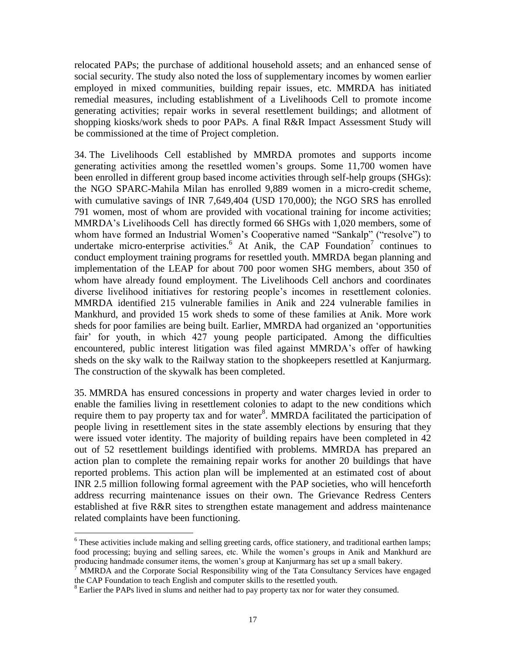relocated PAPs; the purchase of additional household assets; and an enhanced sense of social security. The study also noted the loss of supplementary incomes by women earlier employed in mixed communities, building repair issues, etc. MMRDA has initiated remedial measures, including establishment of a Livelihoods Cell to promote income generating activities; repair works in several resettlement buildings; and allotment of shopping kiosks/work sheds to poor PAPs. A final R&R Impact Assessment Study will be commissioned at the time of Project completion.

34. The Livelihoods Cell established by MMRDA promotes and supports income generating activities among the resettled women"s groups. Some 11,700 women have been enrolled in different group based income activities through self-help groups (SHGs): the NGO SPARC-Mahila Milan has enrolled 9,889 women in a micro-credit scheme, with cumulative savings of INR 7,649,404 (USD 170,000); the NGO SRS has enrolled 791 women, most of whom are provided with vocational training for income activities; MMRDA"s Livelihoods Cell has directly formed 66 SHGs with 1,020 members, some of whom have formed an Industrial Women's Cooperative named "Sankalp" ("resolve") to undertake micro-enterprise activities.<sup>6</sup> At Anik, the CAP Foundation<sup>7</sup> continues to conduct employment training programs for resettled youth. MMRDA began planning and implementation of the LEAP for about 700 poor women SHG members, about 350 of whom have already found employment. The Livelihoods Cell anchors and coordinates diverse livelihood initiatives for restoring people"s incomes in resettlement colonies. MMRDA identified 215 vulnerable families in Anik and 224 vulnerable families in Mankhurd, and provided 15 work sheds to some of these families at Anik. More work sheds for poor families are being built. Earlier, MMRDA had organized an "opportunities fair" for youth, in which 427 young people participated. Among the difficulties encountered, public interest litigation was filed against MMRDA"s offer of hawking sheds on the sky walk to the Railway station to the shopkeepers resettled at Kanjurmarg. The construction of the skywalk has been completed.

35. MMRDA has ensured concessions in property and water charges levied in order to enable the families living in resettlement colonies to adapt to the new conditions which require them to pay property tax and for water $8$ . MMRDA facilitated the participation of people living in resettlement sites in the state assembly elections by ensuring that they were issued voter identity. The majority of building repairs have been completed in 42 out of 52 resettlement buildings identified with problems. MMRDA has prepared an action plan to complete the remaining repair works for another 20 buildings that have reported problems. This action plan will be implemented at an estimated cost of about INR 2.5 million following formal agreement with the PAP societies, who will henceforth address recurring maintenance issues on their own. The Grievance Redress Centers established at five R&R sites to strengthen estate management and address maintenance related complaints have been functioning.

<sup>&</sup>lt;sup>6</sup> These activities include making and selling greeting cards, office stationery, and traditional earthen lamps; food processing; buying and selling sarees, etc. While the women"s groups in Anik and Mankhurd are producing handmade consumer items, the women"s group at Kanjurmarg has set up a small bakery.

<sup>7</sup> MMRDA and the Corporate Social Responsibility wing of the Tata Consultancy Services have engaged the CAP Foundation to teach English and computer skills to the resettled youth.

<sup>&</sup>lt;sup>8</sup> Earlier the PAPs lived in slums and neither had to pay property tax nor for water they consumed.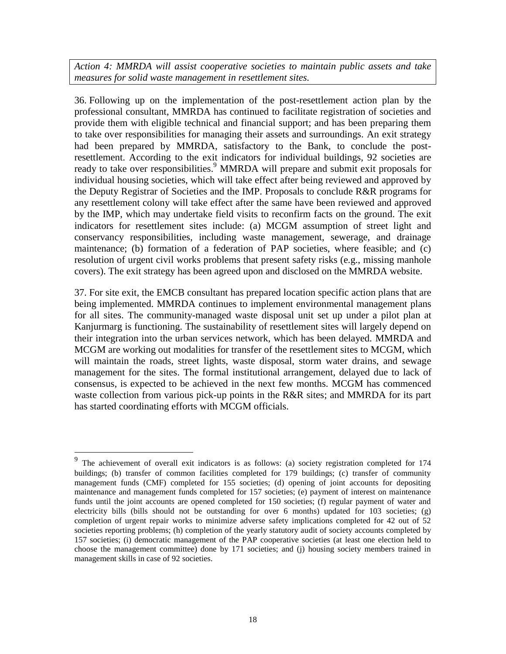*Action 4: MMRDA will assist cooperative societies to maintain public assets and take measures for solid waste management in resettlement sites.* 

36. Following up on the implementation of the post-resettlement action plan by the professional consultant, MMRDA has continued to facilitate registration of societies and provide them with eligible technical and financial support; and has been preparing them to take over responsibilities for managing their assets and surroundings. An exit strategy had been prepared by MMRDA, satisfactory to the Bank, to conclude the postresettlement. According to the exit indicators for individual buildings, 92 societies are ready to take over responsibilities.<sup>9</sup> MMRDA will prepare and submit exit proposals for individual housing societies, which will take effect after being reviewed and approved by the Deputy Registrar of Societies and the IMP. Proposals to conclude R&R programs for any resettlement colony will take effect after the same have been reviewed and approved by the IMP, which may undertake field visits to reconfirm facts on the ground. The exit indicators for resettlement sites include: (a) MCGM assumption of street light and conservancy responsibilities, including waste management, sewerage, and drainage maintenance; (b) formation of a federation of PAP societies, where feasible; and (c) resolution of urgent civil works problems that present safety risks (e.g., missing manhole covers). The exit strategy has been agreed upon and disclosed on the MMRDA website.

37. For site exit, the EMCB consultant has prepared location specific action plans that are being implemented. MMRDA continues to implement environmental management plans for all sites. The community-managed waste disposal unit set up under a pilot plan at Kanjurmarg is functioning. The sustainability of resettlement sites will largely depend on their integration into the urban services network, which has been delayed. MMRDA and MCGM are working out modalities for transfer of the resettlement sites to MCGM, which will maintain the roads, street lights, waste disposal, storm water drains, and sewage management for the sites. The formal institutional arrangement, delayed due to lack of consensus, is expected to be achieved in the next few months. MCGM has commenced waste collection from various pick-up points in the R&R sites; and MMRDA for its part has started coordinating efforts with MCGM officials.

<sup>9</sup> The achievement of overall exit indicators is as follows: (a) society registration completed for 174 buildings; (b) transfer of common facilities completed for 179 buildings; (c) transfer of community management funds (CMF) completed for 155 societies; (d) opening of joint accounts for depositing maintenance and management funds completed for 157 societies; (e) payment of interest on maintenance funds until the joint accounts are opened completed for 150 societies; (f) regular payment of water and electricity bills (bills should not be outstanding for over 6 months) updated for 103 societies; (g) completion of urgent repair works to minimize adverse safety implications completed for 42 out of 52 societies reporting problems; (h) completion of the yearly statutory audit of society accounts completed by 157 societies; (i) democratic management of the PAP cooperative societies (at least one election held to choose the management committee) done by 171 societies; and (j) housing society members trained in management skills in case of 92 societies.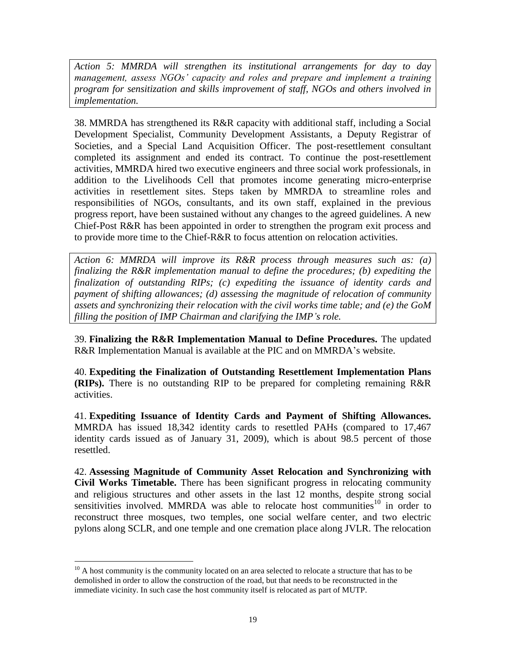*Action 5: MMRDA will strengthen its institutional arrangements for day to day management, assess NGOs' capacity and roles and prepare and implement a training program for sensitization and skills improvement of staff, NGOs and others involved in implementation.*

38. MMRDA has strengthened its R&R capacity with additional staff, including a Social Development Specialist, Community Development Assistants, a Deputy Registrar of Societies, and a Special Land Acquisition Officer. The post-resettlement consultant completed its assignment and ended its contract. To continue the post-resettlement activities, MMRDA hired two executive engineers and three social work professionals, in addition to the Livelihoods Cell that promotes income generating micro-enterprise activities in resettlement sites. Steps taken by MMRDA to streamline roles and responsibilities of NGOs, consultants, and its own staff, explained in the previous progress report, have been sustained without any changes to the agreed guidelines. A new Chief-Post R&R has been appointed in order to strengthen the program exit process and to provide more time to the Chief-R&R to focus attention on relocation activities.

*Action 6: MMRDA will improve its R&R process through measures such as: (a) finalizing the R&R implementation manual to define the procedures; (b) expediting the finalization of outstanding RIPs; (c) expediting the issuance of identity cards and payment of shifting allowances; (d) assessing the magnitude of relocation of community assets and synchronizing their relocation with the civil works time table; and (e) the GoM filling the position of IMP Chairman and clarifying the IMP's role.* 

39. **Finalizing the R&R Implementation Manual to Define Procedures.** The updated R&R Implementation Manual is available at the PIC and on MMRDA's website.

40. **Expediting the Finalization of Outstanding Resettlement Implementation Plans (RIPs).** There is no outstanding RIP to be prepared for completing remaining R&R activities.

41. **Expediting Issuance of Identity Cards and Payment of Shifting Allowances.**  MMRDA has issued 18,342 identity cards to resettled PAHs (compared to 17,467 identity cards issued as of January 31, 2009), which is about 98.5 percent of those resettled.

42. **Assessing Magnitude of Community Asset Relocation and Synchronizing with Civil Works Timetable.** There has been significant progress in relocating community and religious structures and other assets in the last 12 months, despite strong social sensitivities involved. MMRDA was able to relocate host communities $10$  in order to reconstruct three mosques, two temples, one social welfare center, and two electric pylons along SCLR, and one temple and one cremation place along JVLR. The relocation

 $10$  A host community is the community located on an area selected to relocate a structure that has to be demolished in order to allow the construction of the road, but that needs to be reconstructed in the immediate vicinity. In such case the host community itself is relocated as part of MUTP.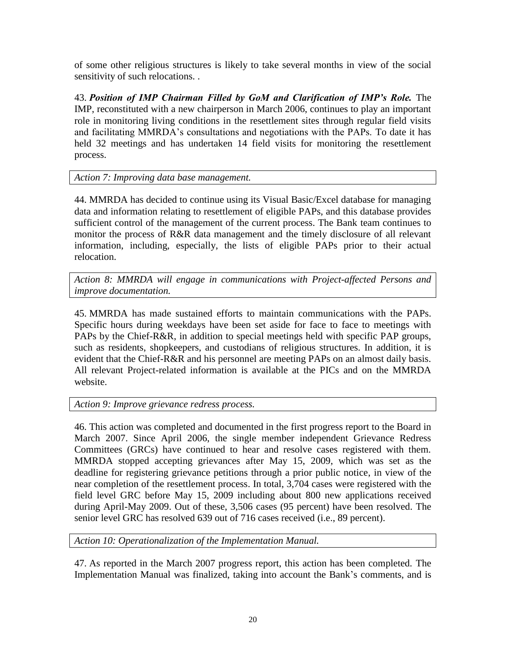of some other religious structures is likely to take several months in view of the social sensitivity of such relocations. .

43. *Position of IMP Chairman Filled by GoM and Clarification of IMP's Role.* The IMP, reconstituted with a new chairperson in March 2006, continues to play an important role in monitoring living conditions in the resettlement sites through regular field visits and facilitating MMRDA"s consultations and negotiations with the PAPs. To date it has held 32 meetings and has undertaken 14 field visits for monitoring the resettlement process.

*Action 7: Improving data base management.* 

44. MMRDA has decided to continue using its Visual Basic/Excel database for managing data and information relating to resettlement of eligible PAPs, and this database provides sufficient control of the management of the current process. The Bank team continues to monitor the process of R&R data management and the timely disclosure of all relevant information, including, especially, the lists of eligible PAPs prior to their actual relocation.

*Action 8: MMRDA will engage in communications with Project-affected Persons and improve documentation.*

45. MMRDA has made sustained efforts to maintain communications with the PAPs. Specific hours during weekdays have been set aside for face to face to meetings with PAPs by the Chief-R&R, in addition to special meetings held with specific PAP groups, such as residents, shopkeepers, and custodians of religious structures. In addition, it is evident that the Chief-R&R and his personnel are meeting PAPs on an almost daily basis. All relevant Project-related information is available at the PICs and on the MMRDA website.

*Action 9: Improve grievance redress process.*

46. This action was completed and documented in the first progress report to the Board in March 2007. Since April 2006, the single member independent Grievance Redress Committees (GRCs) have continued to hear and resolve cases registered with them. MMRDA stopped accepting grievances after May 15, 2009, which was set as the deadline for registering grievance petitions through a prior public notice, in view of the near completion of the resettlement process. In total, 3,704 cases were registered with the field level GRC before May 15, 2009 including about 800 new applications received during April-May 2009. Out of these, 3,506 cases (95 percent) have been resolved. The senior level GRC has resolved 639 out of 716 cases received (i.e., 89 percent).

*Action 10: Operationalization of the Implementation Manual.*

47. As reported in the March 2007 progress report, this action has been completed. The Implementation Manual was finalized, taking into account the Bank"s comments, and is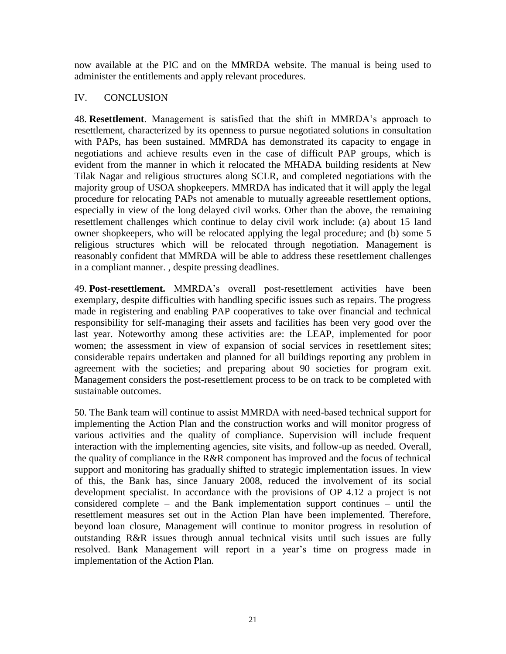now available at the PIC and on the MMRDA website. The manual is being used to administer the entitlements and apply relevant procedures.

# <span id="page-20-0"></span>IV. CONCLUSION

48. **Resettlement**. Management is satisfied that the shift in MMRDA"s approach to resettlement, characterized by its openness to pursue negotiated solutions in consultation with PAPs, has been sustained. MMRDA has demonstrated its capacity to engage in negotiations and achieve results even in the case of difficult PAP groups, which is evident from the manner in which it relocated the MHADA building residents at New Tilak Nagar and religious structures along SCLR, and completed negotiations with the majority group of USOA shopkeepers. MMRDA has indicated that it will apply the legal procedure for relocating PAPs not amenable to mutually agreeable resettlement options, especially in view of the long delayed civil works. Other than the above, the remaining resettlement challenges which continue to delay civil work include: (a) about 15 land owner shopkeepers, who will be relocated applying the legal procedure; and (b) some 5 religious structures which will be relocated through negotiation. Management is reasonably confident that MMRDA will be able to address these resettlement challenges in a compliant manner. , despite pressing deadlines.

49. **Post-resettlement.** MMRDA"s overall post-resettlement activities have been exemplary, despite difficulties with handling specific issues such as repairs. The progress made in registering and enabling PAP cooperatives to take over financial and technical responsibility for self-managing their assets and facilities has been very good over the last year. Noteworthy among these activities are: the LEAP, implemented for poor women; the assessment in view of expansion of social services in resettlement sites; considerable repairs undertaken and planned for all buildings reporting any problem in agreement with the societies; and preparing about 90 societies for program exit. Management considers the post-resettlement process to be on track to be completed with sustainable outcomes.

50. The Bank team will continue to assist MMRDA with need-based technical support for implementing the Action Plan and the construction works and will monitor progress of various activities and the quality of compliance. Supervision will include frequent interaction with the implementing agencies, site visits, and follow-up as needed. Overall, the quality of compliance in the R&R component has improved and the focus of technical support and monitoring has gradually shifted to strategic implementation issues. In view of this, the Bank has, since January 2008, reduced the involvement of its social development specialist. In accordance with the provisions of OP 4.12 a project is not considered complete – and the Bank implementation support continues – until the resettlement measures set out in the Action Plan have been implemented. Therefore, beyond loan closure, Management will continue to monitor progress in resolution of outstanding R&R issues through annual technical visits until such issues are fully resolved. Bank Management will report in a year's time on progress made in implementation of the Action Plan.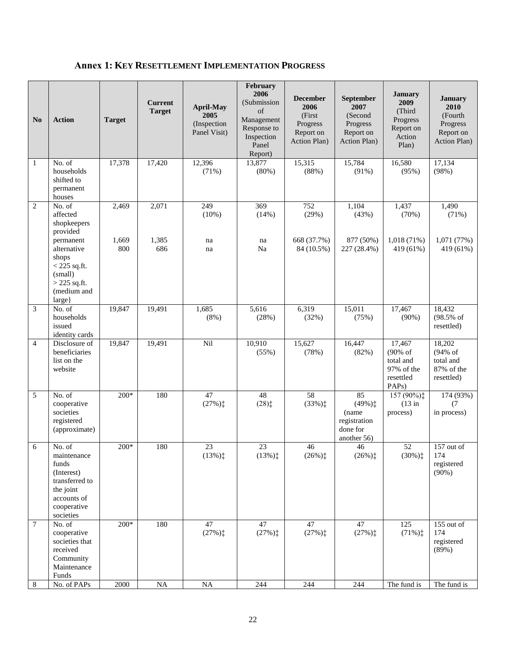# <span id="page-21-0"></span>**Annex 1: KEY RESETTLEMENT IMPLEMENTATION PROGRESS**

| N <sub>0</sub> | <b>Action</b>                                                                                                                                    | <b>Target</b>         | <b>Current</b><br><b>Target</b> | <b>April-May</b><br>2005<br>(Inspection<br>Panel Visit) | February<br>2006<br>(Submission<br>of<br>Management<br>Response to<br>Inspection<br>Panel<br>Report) | <b>December</b><br>2006<br>(First<br>Progress<br>Report on<br>Action Plan) | September<br>2007<br>(Second<br>Progress<br>Report on<br>Action Plan) | <b>January</b><br>2009<br>(Third<br>Progress<br>Report on<br>Action<br>Plan)                | <b>January</b><br>2010<br>(Fourth)<br>Progress<br>Report on<br>Action Plan) |
|----------------|--------------------------------------------------------------------------------------------------------------------------------------------------|-----------------------|---------------------------------|---------------------------------------------------------|------------------------------------------------------------------------------------------------------|----------------------------------------------------------------------------|-----------------------------------------------------------------------|---------------------------------------------------------------------------------------------|-----------------------------------------------------------------------------|
| 1              | No. of<br>households<br>shifted to<br>permanent<br>houses                                                                                        | 17,378                | 17,420                          | 12,396<br>(71%)                                         | 13,877<br>(80%)                                                                                      | 15,315<br>(88%)                                                            | 15,784<br>(91%)                                                       | 16,580<br>(95%)                                                                             | 17,134<br>(98%)                                                             |
| $\overline{c}$ | No. of<br>affected<br>shopkeepers<br>provided<br>permanent<br>alternative<br>shops<br>$<$ 225 sq.ft.<br>(small)<br>$>$ 225 sq.ft.<br>(medium and | 2,469<br>1,669<br>800 | 2,071<br>1,385<br>686           | 249<br>(10%)<br>na<br>na                                | 369<br>(14%)<br>na<br>Na                                                                             | 752<br>(29%)<br>668 (37.7%)<br>84 (10.5%)                                  | 1,104<br>(43%)<br>877 (50%)<br>227 (28.4%)                            | 1,437<br>(70%)<br>1,018(71%)<br>419 (61%)                                                   | 1,490<br>(71%)<br>1,071(77%)<br>419 (61%)                                   |
| 3              | large}<br>No. of<br>households<br>issued<br>identity cards                                                                                       | 19,847                | 19,491                          | 1,685<br>$(8\%)$                                        | 5,616<br>(28%)                                                                                       | 6,319<br>(32%)                                                             | 15,011<br>(75%)                                                       | 17,467<br>$(90\%)$                                                                          | 18,432<br>(98.5% of<br>resettled)                                           |
| $\overline{4}$ | Disclosure of<br>beneficiaries<br>list on the<br>website                                                                                         | 19,847                | 19,491                          | Nil                                                     | 10,910<br>(55%)                                                                                      | 15,627<br>(78%)                                                            | 16,447<br>(82%)                                                       | 17,467<br>$(90\% \text{ of }$<br>total and<br>97% of the<br>resettled<br>PAP <sub>s</sub> ) | 18,202<br>(94% of<br>total and<br>87% of the<br>resettled)                  |
| 5              | No. of<br>cooperative<br>societies<br>registered<br>(approximate)                                                                                | $200*$                | 180                             | 47<br>$(27%)$ <sup>+</sup>                              | 48<br>$(28)$ :                                                                                       | 58<br>$(33%)_+^+$                                                          | 85<br>$(49\%)$ ‡<br>(name<br>registration<br>done for<br>another 56)  | 157 (90%);<br>$(13$ in<br>process)                                                          | 174 (93%)<br>(7)<br>in process)                                             |
| 6              | No. of<br>maintenance<br>funds<br>(Interest)<br>transferred to<br>the joint<br>accounts of<br>cooperative<br>societies                           | 200*                  | 180                             | 23<br>(13%)                                             | 23<br>(13%)                                                                                          | 46<br>$(26\%)^+$                                                           | 46<br>$(26\%)\ddagger$                                                | 52<br>$(30\%)\ddagger$                                                                      | 157 out of<br>174<br>registered<br>(90%)                                    |
| 7              | No. of<br>cooperative<br>societies that<br>received<br>Community<br>Maintenance<br>Funds                                                         | 200*                  | 180                             | 47<br>(27%)                                             | 47<br>$(27%)$ <sup>+</sup>                                                                           | 47<br>$(27%)$ <sup>+</sup>                                                 | 47<br>$(27%)$ ‡                                                       | $\overline{125}$<br>$(71\%)$                                                                | 155 out of<br>174<br>registered<br>(89%)                                    |
| 8              | No. of PAPs                                                                                                                                      | $2000\,$              | $\rm NA$                        | $\rm NA$                                                | 244                                                                                                  | 244                                                                        | 244                                                                   | The fund is                                                                                 | The fund is                                                                 |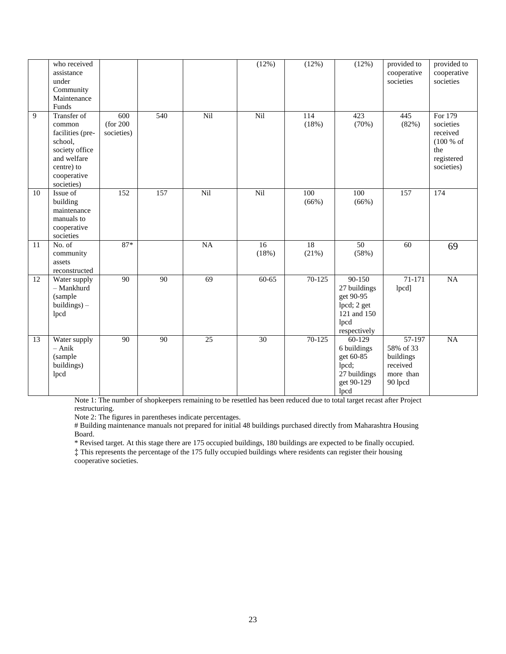|    | who received<br>assistance<br>under<br>Community<br>Maintenance<br>Funds                                                         |                                |                 |          | (12%)       | (12%)        | (12%)                                                                                       | provided to<br>cooperative<br>societies                                          | provided to<br>cooperative<br>societies                                          |
|----|----------------------------------------------------------------------------------------------------------------------------------|--------------------------------|-----------------|----------|-------------|--------------|---------------------------------------------------------------------------------------------|----------------------------------------------------------------------------------|----------------------------------------------------------------------------------|
| 9  | Transfer of<br>common<br>facilities (pre-<br>school,<br>society office<br>and welfare<br>centre) to<br>cooperative<br>societies) | 600<br>(for 200)<br>societies) | 540             | Nil      | Nil         | 114<br>(18%) | 423<br>(70%)                                                                                | 445<br>(82%)                                                                     | For 179<br>societies<br>received<br>(100 % of<br>the<br>registered<br>societies) |
| 10 | Issue of<br>building<br>maintenance<br>manuals to<br>cooperative<br>societies                                                    | 152                            | 157             | Nil      | Nil         | 100<br>(66%) | 100<br>(66%)                                                                                | 157                                                                              | 174                                                                              |
| 11 | No. of<br>community<br>assets<br>reconstructed                                                                                   | $87*$                          |                 | $\rm NA$ | 16<br>(18%) | 18<br>(21%)  | 50<br>(58%)                                                                                 | 60                                                                               | 69                                                                               |
| 12 | Water supply<br>- Mankhurd<br>(sample<br>$building$ ) $-$<br>lpcd                                                                | 90                             | $\overline{90}$ | 69       | $60-65$     | 70-125       | $90-150$<br>27 buildings<br>get 90-95<br>lpcd; 2 get<br>121 and 150<br>lpcd<br>respectively | $71 - 171$<br>lpcd]                                                              | NA                                                                               |
| 13 | Water supply<br>$-$ Anik<br>(sample<br>buildings)<br>lpcd                                                                        | 90                             | 90              | 25       | 30          | $70-125$     | 60-129<br>6 buildings<br>get 60-85<br>lpcd;<br>27 buildings<br>get 90-129<br>lpcd           | $\frac{1}{57-197}$<br>58% of 33<br>buildings<br>received<br>more than<br>90 lpcd | NA                                                                               |

Note 1: The number of shopkeepers remaining to be resettled has been reduced due to total target recast after Project restructuring.

Note 2: The figures in parentheses indicate percentages.

# Building maintenance manuals not prepared for initial 48 buildings purchased directly from Maharashtra Housing Board.

\* Revised target. At this stage there are 175 occupied buildings, 180 buildings are expected to be finally occupied.

‡ This represents the percentage of the 175 fully occupied buildings where residents can register their housing cooperative societies.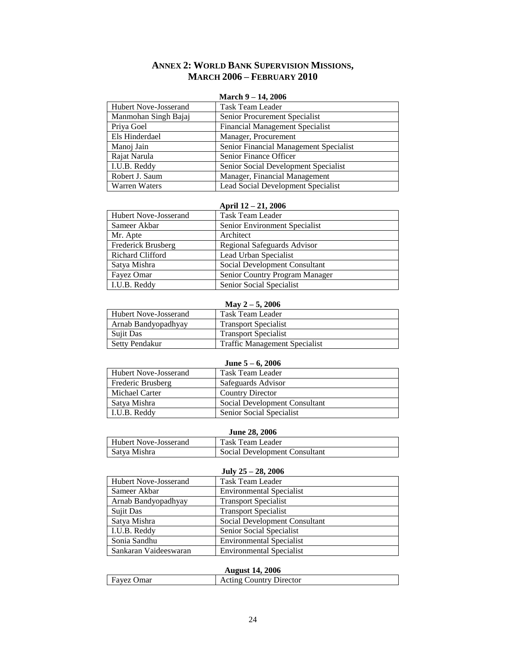# **ANNEX 2: WORLD BANK SUPERVISION MISSIONS, MARCH 2006 – FEBRUARY 2010**

#### **March 9 – 14, 2006**

<span id="page-23-0"></span>

| <b>Hubert Nove-Josserand</b> | <b>Task Team Leader</b>                |
|------------------------------|----------------------------------------|
| Manmohan Singh Bajaj         | Senior Procurement Specialist          |
| Priya Goel                   | <b>Financial Management Specialist</b> |
| Els Hinderdael               | Manager, Procurement                   |
| Manoj Jain                   | Senior Financial Management Specialist |
| Rajat Narula                 | Senior Finance Officer                 |
| I.U.B. Reddy                 | Senior Social Development Specialist   |
| Robert J. Saum               | Manager, Financial Management          |
| <b>Warren Waters</b>         | Lead Social Development Specialist     |

#### **April 12 – 21, 2006**

| Hubert Nove-Josserand | <b>Task Team Leader</b>        |
|-----------------------|--------------------------------|
| Sameer Akbar          | Senior Environment Specialist  |
| Mr. Apte              | Architect                      |
| Frederick Brusberg    | Regional Safeguards Advisor    |
| Richard Clifford      | Lead Urban Specialist          |
| Satya Mishra          | Social Development Consultant  |
| Fayez Omar            | Senior Country Program Manager |
| I.U.B. Reddy          | Senior Social Specialist       |

#### **May 2 – 5, 2006**

| Hubert Nove-Josserand | Task Team Leader                     |
|-----------------------|--------------------------------------|
| Arnab Bandyopadhyay   | <b>Transport Specialist</b>          |
| <b>Sujit Das</b>      | <b>Transport Specialist</b>          |
| Setty Pendakur        | <b>Traffic Management Specialist</b> |

#### **June 5 – 6, 2006**

| <b>Hubert Nove-Josserand</b> | Task Team Leader              |
|------------------------------|-------------------------------|
| Frederic Brusberg            | Safeguards Advisor            |
| Michael Carter               | <b>Country Director</b>       |
| Satya Mishra                 | Social Development Consultant |
| I.U.B. Reddy                 | Senior Social Specialist      |

#### **June 28, 2006**

| Hubert Nove-Josserand | Task Team Leader              |
|-----------------------|-------------------------------|
| Satya Mishra          | Social Development Consultant |

# **July 25 – 28, 2006**

| Hubert Nove-Josserand | Task Team Leader                |
|-----------------------|---------------------------------|
| Sameer Akbar          | <b>Environmental Specialist</b> |
| Arnab Bandyopadhyay   | <b>Transport Specialist</b>     |
| <b>Sujit Das</b>      | <b>Transport Specialist</b>     |
| Satya Mishra          | Social Development Consultant   |
| I.U.B. Reddy          | Senior Social Specialist        |
| Sonia Sandhu          | <b>Environmental Specialist</b> |
| Sankaran Vaideeswaran | <b>Environmental Specialist</b> |

### **August 14, 2006**

| 1100              |                         |
|-------------------|-------------------------|
| <b>Favez Omar</b> | Acting Country Director |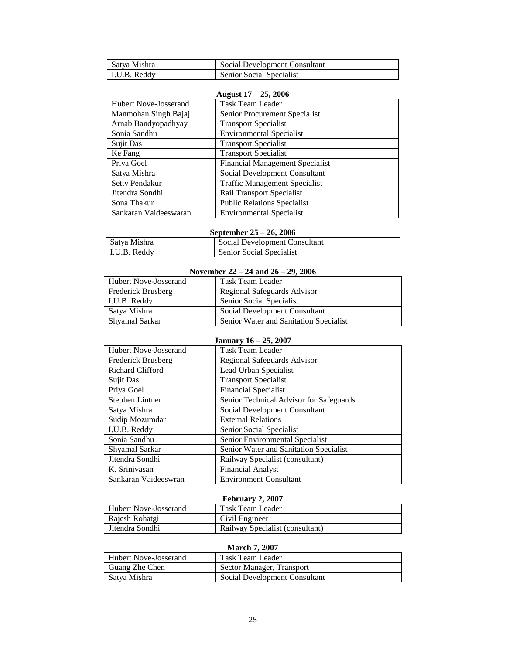| Satya Mishra | Social Development Consultant |
|--------------|-------------------------------|
| LU.B. Reddy  | Senior Social Specialist      |

### **August 17 – 25, 2006**

| $11050011$ $201000$   |                                        |
|-----------------------|----------------------------------------|
| Hubert Nove-Josserand | <b>Task Team Leader</b>                |
| Manmohan Singh Bajaj  | Senior Procurement Specialist          |
| Arnab Bandyopadhyay   | <b>Transport Specialist</b>            |
| Sonia Sandhu          | <b>Environmental Specialist</b>        |
| <b>Sujit Das</b>      | <b>Transport Specialist</b>            |
| Ke Fang               | <b>Transport Specialist</b>            |
| Priya Goel            | <b>Financial Management Specialist</b> |
| Satya Mishra          | Social Development Consultant          |
| Setty Pendakur        | <b>Traffic Management Specialist</b>   |
| Jitendra Sondhi       | Rail Transport Specialist              |
| Sona Thakur           | <b>Public Relations Specialist</b>     |
| Sankaran Vaideeswaran | <b>Environmental Specialist</b>        |

#### **September 25 – 26, 2006**

| Satva Mishra | Social Development Consultant   |
|--------------|---------------------------------|
| I.U.B. Reddy | <b>Senior Social Specialist</b> |

#### **November 22 – 24 and 26 – 29, 2006**

| Hubert Nove-Josserand | Task Team Leader                       |
|-----------------------|----------------------------------------|
| Frederick Brusberg    | Regional Safeguards Advisor            |
| I.U.B. Reddy          | Senior Social Specialist               |
| Satya Mishra          | Social Development Consultant          |
| Shyamal Sarkar        | Senior Water and Sanitation Specialist |

## **January 16 – 25, 2007**

| <b>Hubert Nove-Josserand</b> | <b>Task Team Leader</b>                 |
|------------------------------|-----------------------------------------|
| Frederick Brusberg           | Regional Safeguards Advisor             |
| <b>Richard Clifford</b>      | Lead Urban Specialist                   |
| Sujit Das                    | <b>Transport Specialist</b>             |
| Priya Goel                   | <b>Financial Specialist</b>             |
| Stephen Lintner              | Senior Technical Advisor for Safeguards |
| Satya Mishra                 | Social Development Consultant           |
| Sudip Mozumdar               | <b>External Relations</b>               |
| I.U.B. Reddy                 | Senior Social Specialist                |
| Sonia Sandhu                 | Senior Environmental Specialist         |
| Shyamal Sarkar               | Senior Water and Sanitation Specialist  |
| Jitendra Sondhi              | Railway Specialist (consultant)         |
| K. Srinivasan                | <b>Financial Analyst</b>                |
| Sankaran Vaideeswran         | <b>Environment Consultant</b>           |

#### **February 2, 2007**

| $1.001$ and $1.000$          |                                 |
|------------------------------|---------------------------------|
| <b>Hubert Nove-Josserand</b> | Task Team Leader                |
| Raiesh Rohatgi               | Civil Engineer                  |
| l Jitendra Sondhi            | Railway Specialist (consultant) |

#### **March 7, 2007**

| Hubert Nove-Josserand | Task Team Leader              |
|-----------------------|-------------------------------|
| Guang Zhe Chen        | Sector Manager, Transport     |
| Satya Mishra          | Social Development Consultant |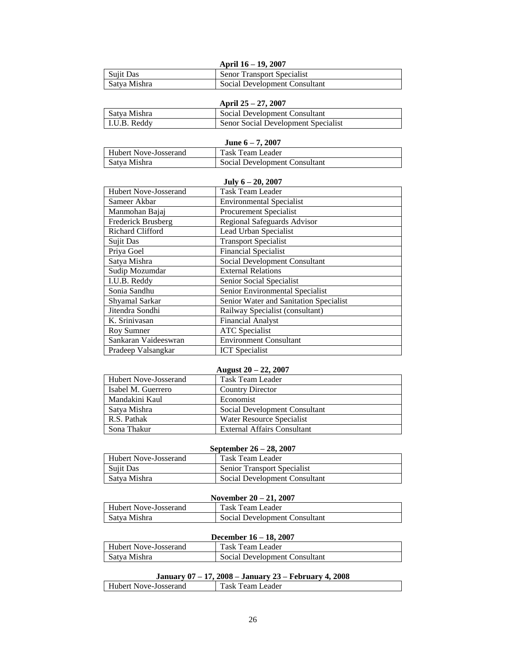|              | April 16 – 19, 2007               |
|--------------|-----------------------------------|
| Sujit Das    | <b>Senor Transport Specialist</b> |
| Satya Mishra | Social Development Consultant     |

|              | April $25 - 27$ , 2007              |
|--------------|-------------------------------------|
| Satya Mishra | Social Development Consultant       |
| I.U.B. Reddy | Senor Social Development Specialist |

| June $6-7, 2007$      |                               |
|-----------------------|-------------------------------|
| Hubert Nove-Josserand | Task Team Leader              |
| Satya Mishra          | Social Development Consultant |

| July $6 - 20$ , 2007         |                                        |  |
|------------------------------|----------------------------------------|--|
| <b>Hubert Nove-Josserand</b> | Task Team Leader                       |  |
| Sameer Akbar                 | <b>Environmental Specialist</b>        |  |
| Manmohan Bajaj               | <b>Procurement Specialist</b>          |  |
| Frederick Brusberg           | Regional Safeguards Advisor            |  |
| Richard Clifford             | Lead Urban Specialist                  |  |
| <b>Sujit Das</b>             | <b>Transport Specialist</b>            |  |
| Priya Goel                   | <b>Financial Specialist</b>            |  |
| Satya Mishra                 | Social Development Consultant          |  |
| Sudip Mozumdar               | <b>External Relations</b>              |  |
| I.U.B. Reddy                 | Senior Social Specialist               |  |
| Sonia Sandhu                 | Senior Environmental Specialist        |  |
| Shyamal Sarkar               | Senior Water and Sanitation Specialist |  |
| Jitendra Sondhi              | Railway Specialist (consultant)        |  |
| K. Srinivasan                | <b>Financial Analyst</b>               |  |
| Roy Sumner                   | <b>ATC</b> Specialist                  |  |
| Sankaran Vaideeswran         | <b>Environment Consultant</b>          |  |
| Pradeep Valsangkar           | <b>ICT</b> Specialist                  |  |
|                              |                                        |  |

### **August 20 – 22, 2007**

| <b>Hubert Nove-Josserand</b> | Task Team Leader              |
|------------------------------|-------------------------------|
| Isabel M. Guerrero           | <b>Country Director</b>       |
| Mandakini Kaul               | Economist                     |
| Satya Mishra                 | Social Development Consultant |
| R.S. Pathak                  | Water Resource Specialist     |
| Sona Thakur                  | External Affairs Consultant   |

#### **September 26 – 28, 2007**

| Hubert Nove-Josserand | Task Team Leader              |
|-----------------------|-------------------------------|
| Sujit Das             | Senior Transport Specialist   |
| Satya Mishra          | Social Development Consultant |

#### **November 20 – 21, 2007**

| <b>Hubert Nove-Josserand</b> | Task Team Leader              |
|------------------------------|-------------------------------|
| Satya Mishra                 | Social Development Consultant |

### **December 16 – 18, 2007**

| <b>Hubert Nove-Josserand</b> | Task Team Leader              |
|------------------------------|-------------------------------|
| Satya Mishra                 | Social Development Consultant |

### **January 07 – 17, 2008 – January 23 – February 4, 2008**

| Hubert Nove-Josserand | Team Leader<br>ask |  |
|-----------------------|--------------------|--|
|                       |                    |  |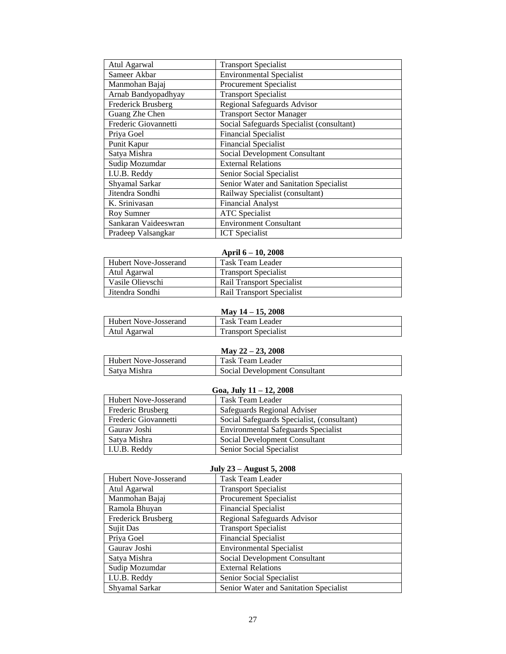| Atul Agarwal         | <b>Transport Specialist</b>               |
|----------------------|-------------------------------------------|
| Sameer Akbar         | <b>Environmental Specialist</b>           |
| Manmohan Bajaj       | Procurement Specialist                    |
| Arnab Bandyopadhyay  | <b>Transport Specialist</b>               |
| Frederick Brusberg   | <b>Regional Safeguards Advisor</b>        |
| Guang Zhe Chen       | <b>Transport Sector Manager</b>           |
| Frederic Giovannetti | Social Safeguards Specialist (consultant) |
| Priya Goel           | <b>Financial Specialist</b>               |
| Punit Kapur          | <b>Financial Specialist</b>               |
| Satya Mishra         | Social Development Consultant             |
| Sudip Mozumdar       | <b>External Relations</b>                 |
| I.U.B. Reddy         | Senior Social Specialist                  |
| Shyamal Sarkar       | Senior Water and Sanitation Specialist    |
| Jitendra Sondhi      | Railway Specialist (consultant)           |
| K. Srinivasan        | <b>Financial Analyst</b>                  |
| Roy Sumner           | <b>ATC</b> Specialist                     |
| Sankaran Vaideeswran | <b>Environment Consultant</b>             |
| Pradeep Valsangkar   | <b>ICT</b> Specialist                     |

### **April 6 – 10, 2008** Hubert Nove-Josserand Task Team Leader<br>
Atul Agarwal Transport Specialis Atul Agarwal Transport Specialist<br>
Vasile Olievschi Rail Transport Specialist Vasile Olievschi Rail Transport Specialist<br>
Jitendra Sondhi Rail Transport Specialist Rail Transport Specialist

|                       | May $14 - 15$ , 2008        |
|-----------------------|-----------------------------|
| Hubert Nove-Josserand | Task Team Leader            |
| Atul Agarwal          | <b>Transport Specialist</b> |

# **May 22 – 23, 2008**

| Hubert Nove-Josserand | Task Team Leader              |
|-----------------------|-------------------------------|
| Satva Mishra          | Social Development Consultant |

#### **Goa, July 11 – 12, 2008**

| Hubert Nove-Josserand | Task Team Leader                           |
|-----------------------|--------------------------------------------|
| Frederic Brusberg     | Safeguards Regional Adviser                |
| Frederic Giovannetti  | Social Safeguards Specialist, (consultant) |
| Gauray Joshi          | <b>Environmental Safeguards Specialist</b> |
| Satya Mishra          | Social Development Consultant              |
| I.U.B. Reddy          | Senior Social Specialist                   |

#### **July 23 – August 5, 2008**

| $0.41$ , $40 - 1.44$ , $400 - 0.7$ |                                        |
|------------------------------------|----------------------------------------|
| <b>Hubert Nove-Josserand</b>       | <b>Task Team Leader</b>                |
| Atul Agarwal                       | <b>Transport Specialist</b>            |
| Manmohan Bajaj                     | Procurement Specialist                 |
| Ramola Bhuyan                      | <b>Financial Specialist</b>            |
| Frederick Brusberg                 | Regional Safeguards Advisor            |
| Sujit Das                          | <b>Transport Specialist</b>            |
| Priya Goel                         | <b>Financial Specialist</b>            |
| Gaurav Joshi                       | <b>Environmental Specialist</b>        |
| Satya Mishra                       | Social Development Consultant          |
| Sudip Mozumdar                     | <b>External Relations</b>              |
| I.U.B. Reddy                       | Senior Social Specialist               |
| Shyamal Sarkar                     | Senior Water and Sanitation Specialist |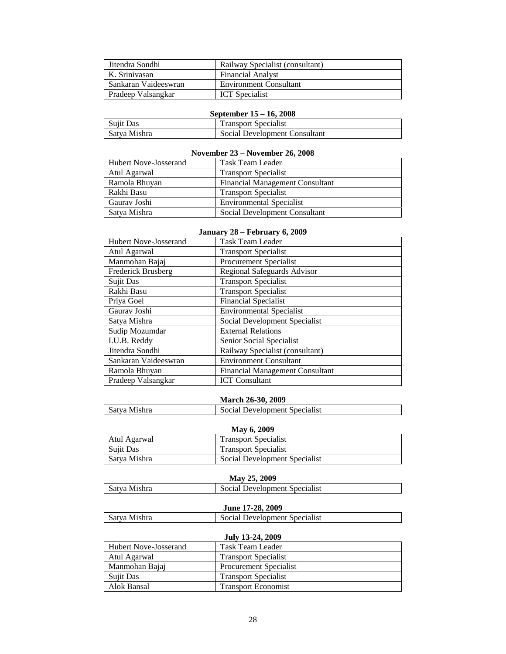| Jitendra Sondhi           | Railway Specialist (consultant) |
|---------------------------|---------------------------------|
| K. Srinivasan             | <b>Financial Analyst</b>        |
| Sankaran Vaideeswran      | <b>Environment Consultant</b>   |
| <b>Pradeep Valsangkar</b> | <b>ICT</b> Specialist           |

### **September 15 – 16, 2008**

| Sujit Das    | <b>Transport Specialist</b>   |
|--------------|-------------------------------|
| Satva Mishra | Social Development Consultant |

#### **November 23 – November 26, 2008**

| Hubert Nove-Josserand | Task Team Leader                       |
|-----------------------|----------------------------------------|
| Atul Agarwal          | <b>Transport Specialist</b>            |
| Ramola Bhuyan         | <b>Financial Management Consultant</b> |
| Rakhi Basu            | <b>Transport Specialist</b>            |
| Gauray Joshi          | <b>Environmental Specialist</b>        |
| Satya Mishra          | Social Development Consultant          |

#### **January 28 – February 6, 2009**

| <b>Hubert Nove-Josserand</b> | Task Team Leader                       |
|------------------------------|----------------------------------------|
| Atul Agarwal                 | <b>Transport Specialist</b>            |
| Manmohan Bajaj               | Procurement Specialist                 |
| Frederick Brusberg           | <b>Regional Safeguards Advisor</b>     |
| Sujit Das                    | <b>Transport Specialist</b>            |
| Rakhi Basu                   | <b>Transport Specialist</b>            |
| Priya Goel                   | <b>Financial Specialist</b>            |
| Gaurav Joshi                 | <b>Environmental Specialist</b>        |
| Satya Mishra                 | Social Development Specialist          |
| Sudip Mozumdar               | <b>External Relations</b>              |
| I.U.B. Reddy                 | Senior Social Specialist               |
| Jitendra Sondhi              | Railway Specialist (consultant)        |
| Sankaran Vaideeswran         | <b>Environment Consultant</b>          |
| Ramola Bhuyan                | <b>Financial Management Consultant</b> |
| Pradeep Valsangkar           | <b>ICT</b> Consultant                  |

#### **March 26-30, 2009**

| Satva Mishra | Social Development Specialist |
|--------------|-------------------------------|
|--------------|-------------------------------|

#### **May 6, 2009**

| Atul Agarwal     | <b>Transport Specialist</b>   |
|------------------|-------------------------------|
| <b>Sujit Das</b> | <b>Transport Specialist</b>   |
| Satya Mishra     | Social Development Specialist |

## **May 25, 2009**

| 1914) 20. 2007 |                               |
|----------------|-------------------------------|
| Satva Mishra   | Social Development Specialist |

#### **June 17-28, 2009**

| Satva Mishra | Social Development Specialist |
|--------------|-------------------------------|
|--------------|-------------------------------|

#### **July 13-24, 2009**

| Hubert Nove-Josserand | Task Team Leader              |
|-----------------------|-------------------------------|
| Atul Agarwal          | <b>Transport Specialist</b>   |
| Manmohan Bajaj        | <b>Procurement Specialist</b> |
| Sujit Das             | <b>Transport Specialist</b>   |
| Alok Bansal           | <b>Transport Economist</b>    |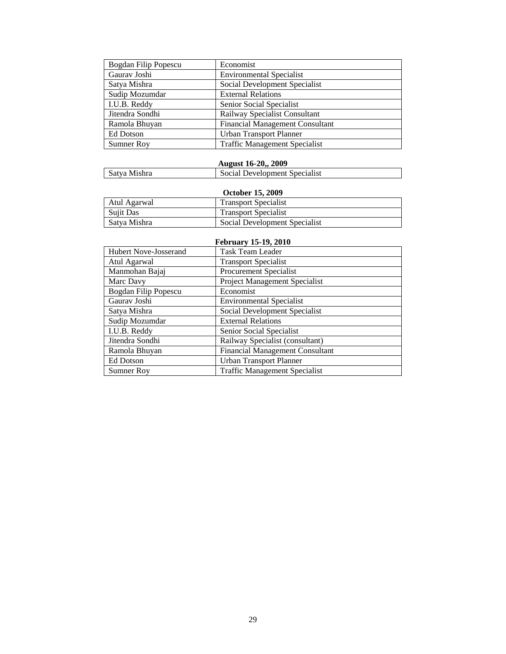| Bogdan Filip Popescu | Economist                              |
|----------------------|----------------------------------------|
| Gaurav Joshi         | <b>Environmental Specialist</b>        |
| Satya Mishra         | Social Development Specialist          |
| Sudip Mozumdar       | <b>External Relations</b>              |
| I.U.B. Reddy         | Senior Social Specialist               |
| Jitendra Sondhi      | Railway Specialist Consultant          |
| Ramola Bhuyan        | <b>Financial Management Consultant</b> |
| Ed Dotson            | <b>Urban Transport Planner</b>         |
| <b>Sumner Roy</b>    | <b>Traffic Management Specialist</b>   |

## **August 16-20,, 2009**

| Satya Mishra | Social Development Specialist |
|--------------|-------------------------------|
|--------------|-------------------------------|

## **October 15, 2009**

| Atul Agarwal | <b>Transport Specialist</b>   |
|--------------|-------------------------------|
| Sujit Das    | <b>Transport Specialist</b>   |
| Satya Mishra | Social Development Specialist |

| February 15-19, 2010         |                                        |  |  |  |
|------------------------------|----------------------------------------|--|--|--|
| <b>Hubert Nove-Josserand</b> | <b>Task Team Leader</b>                |  |  |  |
| Atul Agarwal                 | <b>Transport Specialist</b>            |  |  |  |
| Manmohan Bajaj               | Procurement Specialist                 |  |  |  |
| Marc Davy                    | <b>Project Management Specialist</b>   |  |  |  |
| Bogdan Filip Popescu         | Economist                              |  |  |  |
| Gauray Joshi                 | <b>Environmental Specialist</b>        |  |  |  |
| Satya Mishra                 | Social Development Specialist          |  |  |  |
| Sudip Mozumdar               | <b>External Relations</b>              |  |  |  |
| I.U.B. Reddy                 | Senior Social Specialist               |  |  |  |
| Jitendra Sondhi              | Railway Specialist (consultant)        |  |  |  |
| Ramola Bhuyan                | <b>Financial Management Consultant</b> |  |  |  |
| Ed Dotson                    | <b>Urban Transport Planner</b>         |  |  |  |
| <b>Sumner Roy</b>            | <b>Traffic Management Specialist</b>   |  |  |  |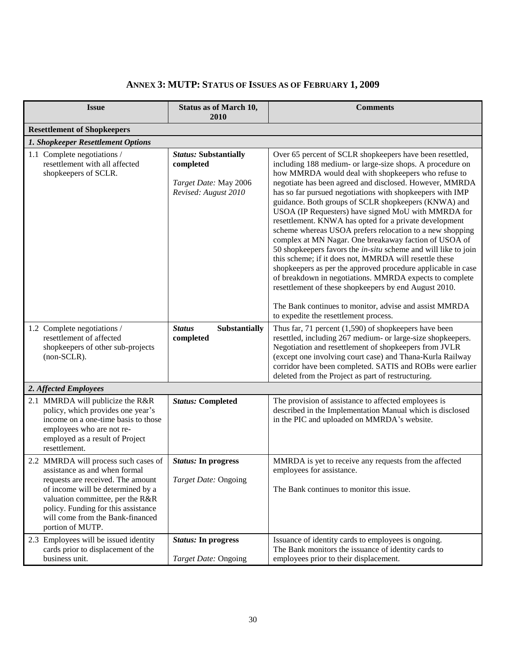| <b>Issue</b>                                                                                                                                                                                                                                                                       | <b>Status as of March 10,</b><br>2010                                                      | <b>Comments</b>                                                                                                                                                                                                                                                                                                                                                                                                                                                                                                                                                                                                                                                                                                                                                                                                                                                                                                                                                                     |
|------------------------------------------------------------------------------------------------------------------------------------------------------------------------------------------------------------------------------------------------------------------------------------|--------------------------------------------------------------------------------------------|-------------------------------------------------------------------------------------------------------------------------------------------------------------------------------------------------------------------------------------------------------------------------------------------------------------------------------------------------------------------------------------------------------------------------------------------------------------------------------------------------------------------------------------------------------------------------------------------------------------------------------------------------------------------------------------------------------------------------------------------------------------------------------------------------------------------------------------------------------------------------------------------------------------------------------------------------------------------------------------|
| <b>Resettlement of Shopkeepers</b>                                                                                                                                                                                                                                                 |                                                                                            |                                                                                                                                                                                                                                                                                                                                                                                                                                                                                                                                                                                                                                                                                                                                                                                                                                                                                                                                                                                     |
| 1. Shopkeeper Resettlement Options                                                                                                                                                                                                                                                 |                                                                                            |                                                                                                                                                                                                                                                                                                                                                                                                                                                                                                                                                                                                                                                                                                                                                                                                                                                                                                                                                                                     |
| 1.1 Complete negotiations /<br>resettlement with all affected<br>shopkeepers of SCLR.                                                                                                                                                                                              | <b>Status: Substantially</b><br>completed<br>Target Date: May 2006<br>Revised: August 2010 | Over 65 percent of SCLR shopkeepers have been resettled,<br>including 188 medium- or large-size shops. A procedure on<br>how MMRDA would deal with shopkeepers who refuse to<br>negotiate has been agreed and disclosed. However, MMRDA<br>has so far pursued negotiations with shopkeepers with IMP<br>guidance. Both groups of SCLR shopkeepers (KNWA) and<br>USOA (IP Requesters) have signed MoU with MMRDA for<br>resettlement. KNWA has opted for a private development<br>scheme whereas USOA prefers relocation to a new shopping<br>complex at MN Nagar. One breakaway faction of USOA of<br>50 shopkeepers favors the <i>in-situ</i> scheme and will like to join<br>this scheme; if it does not, MMRDA will resettle these<br>shopkeepers as per the approved procedure applicable in case<br>of breakdown in negotiations. MMRDA expects to complete<br>resettlement of these shopkeepers by end August 2010.<br>The Bank continues to monitor, advise and assist MMRDA |
| 1.2 Complete negotiations /<br>resettlement of affected<br>shopkeepers of other sub-projects<br>(non-SCLR).                                                                                                                                                                        | <b>Status</b><br>Substantially<br>completed                                                | to expedite the resettlement process.<br>Thus far, 71 percent $(1,590)$ of shopkeepers have been<br>resettled, including 267 medium- or large-size shopkeepers.<br>Negotiation and resettlement of shopkeepers from JVLR<br>(except one involving court case) and Thana-Kurla Railway<br>corridor have been completed. SATIS and ROBs were earlier<br>deleted from the Project as part of restructuring.                                                                                                                                                                                                                                                                                                                                                                                                                                                                                                                                                                            |
| 2. Affected Employees                                                                                                                                                                                                                                                              |                                                                                            |                                                                                                                                                                                                                                                                                                                                                                                                                                                                                                                                                                                                                                                                                                                                                                                                                                                                                                                                                                                     |
| 2.1 MMRDA will publicize the R&R<br>policy, which provides one year's<br>income on a one-time basis to those<br>employees who are not re-<br>employed as a result of Project<br>resettlement.                                                                                      | <b>Status: Completed</b>                                                                   | The provision of assistance to affected employees is<br>described in the Implementation Manual which is disclosed<br>in the PIC and uploaded on MMRDA's website.                                                                                                                                                                                                                                                                                                                                                                                                                                                                                                                                                                                                                                                                                                                                                                                                                    |
| 2.2 MMRDA will process such cases of<br>assistance as and when formal<br>requests are received. The amount<br>of income will be determined by a<br>valuation committee, per the R&R<br>policy. Funding for this assistance<br>will come from the Bank-financed<br>portion of MUTP. | <b>Status:</b> In progress<br>Target Date: Ongoing                                         | MMRDA is yet to receive any requests from the affected<br>employees for assistance.<br>The Bank continues to monitor this issue.                                                                                                                                                                                                                                                                                                                                                                                                                                                                                                                                                                                                                                                                                                                                                                                                                                                    |
| 2.3 Employees will be issued identity<br>cards prior to displacement of the<br>business unit.                                                                                                                                                                                      | <b>Status:</b> In progress<br>Target Date: Ongoing                                         | Issuance of identity cards to employees is ongoing.<br>The Bank monitors the issuance of identity cards to<br>employees prior to their displacement.                                                                                                                                                                                                                                                                                                                                                                                                                                                                                                                                                                                                                                                                                                                                                                                                                                |

# <span id="page-29-0"></span>**ANNEX 3: MUTP: STATUS OF ISSUES AS OF FEBRUARY 1, 2009**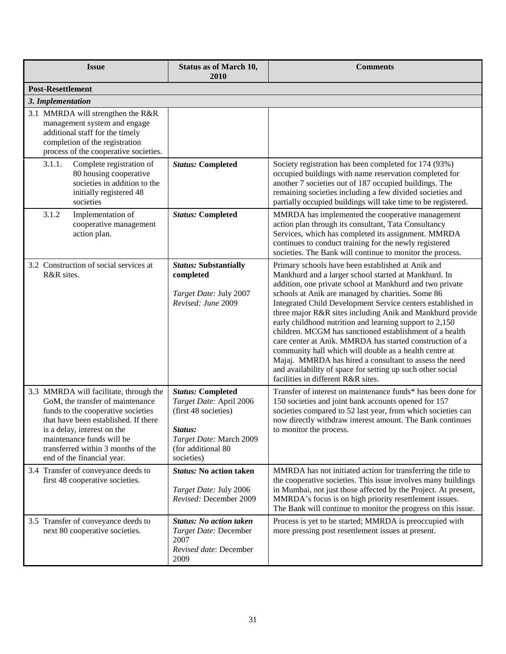| <b>Issue</b>                                                                                                                                                                                                                                                                             | <b>Status as of March 10,</b><br>2010                                                                                                                 | <b>Comments</b>                                                                                                                                                                                                                                                                                                                                                                                                                                                                                                                                                                                                                                                                                                                                                  |  |  |  |  |
|------------------------------------------------------------------------------------------------------------------------------------------------------------------------------------------------------------------------------------------------------------------------------------------|-------------------------------------------------------------------------------------------------------------------------------------------------------|------------------------------------------------------------------------------------------------------------------------------------------------------------------------------------------------------------------------------------------------------------------------------------------------------------------------------------------------------------------------------------------------------------------------------------------------------------------------------------------------------------------------------------------------------------------------------------------------------------------------------------------------------------------------------------------------------------------------------------------------------------------|--|--|--|--|
| <b>Post-Resettlement</b>                                                                                                                                                                                                                                                                 |                                                                                                                                                       |                                                                                                                                                                                                                                                                                                                                                                                                                                                                                                                                                                                                                                                                                                                                                                  |  |  |  |  |
| 3. Implementation                                                                                                                                                                                                                                                                        |                                                                                                                                                       |                                                                                                                                                                                                                                                                                                                                                                                                                                                                                                                                                                                                                                                                                                                                                                  |  |  |  |  |
| 3.1 MMRDA will strengthen the R&R<br>management system and engage<br>additional staff for the timely<br>completion of the registration<br>process of the cooperative societies.                                                                                                          |                                                                                                                                                       |                                                                                                                                                                                                                                                                                                                                                                                                                                                                                                                                                                                                                                                                                                                                                                  |  |  |  |  |
| 3.1.1.<br>Complete registration of<br>80 housing cooperative<br>societies in addition to the<br>initially registered 48<br>societies                                                                                                                                                     | <b>Status: Completed</b>                                                                                                                              | Society registration has been completed for 174 (93%)<br>occupied buildings with name reservation completed for<br>another 7 societies out of 187 occupied buildings. The<br>remaining societies including a few divided societies and<br>partially occupied buildings will take time to be registered.                                                                                                                                                                                                                                                                                                                                                                                                                                                          |  |  |  |  |
| 3.1.2<br>Implementation of<br>cooperative management<br>action plan.                                                                                                                                                                                                                     | <b>Status: Completed</b>                                                                                                                              | MMRDA has implemented the cooperative management<br>action plan through its consultant, Tata Consultancy<br>Services, which has completed its assignment. MMRDA<br>continues to conduct training for the newly registered<br>societies. The Bank will continue to monitor the process.                                                                                                                                                                                                                                                                                                                                                                                                                                                                           |  |  |  |  |
| 3.2 Construction of social services at<br>R&R sites.                                                                                                                                                                                                                                     | <b>Status: Substantially</b><br>completed<br>Target Date: July 2007<br>Revised: June 2009                                                             | Primary schools have been established at Anik and<br>Mankhurd and a larger school started at Mankhurd. In<br>addition, one private school at Mankhurd and two private<br>schools at Anik are managed by charities. Some 86<br>Integrated Child Development Service centers established in<br>three major R&R sites including Anik and Mankhurd provide<br>early childhood nutrition and learning support to 2,150<br>children. MCGM has sanctioned establishment of a health<br>care center at Anik. MMRDA has started construction of a<br>community hall which will double as a health centre at<br>Majaj. MMRDA has hired a consultant to assess the need<br>and availability of space for setting up such other social<br>facilities in different R&R sites. |  |  |  |  |
| 3.3 MMRDA will facilitate, through the<br>GoM, the transfer of maintenance<br>funds to the cooperative societies<br>that have been established. If there<br>is a delay, interest on the<br>maintenance funds will be<br>transferred within 3 months of the<br>end of the financial year. | <b>Status: Completed</b><br>Target Date: April 2006<br>(first 48 societies)<br>Status:<br>Target Date: March 2009<br>(for additional 80<br>societies) | Transfer of interest on maintenance funds* has been done for<br>150 societies and joint bank accounts opened for 157<br>societies compared to 52 last year, from which societies can<br>now directly withdraw interest amount. The Bank continues<br>to monitor the process.                                                                                                                                                                                                                                                                                                                                                                                                                                                                                     |  |  |  |  |
| 3.4 Transfer of conveyance deeds to<br>first 48 cooperative societies.                                                                                                                                                                                                                   | <b>Status: No action taken</b><br>Target Date: July 2006<br>Revised: December 2009                                                                    | MMRDA has not initiated action for transferring the title to<br>the cooperative societies. This issue involves many buildings<br>in Mumbai, not just those affected by the Project. At present,<br>MMRDA's focus is on high priority resettlement issues.<br>The Bank will continue to monitor the progress on this issue.                                                                                                                                                                                                                                                                                                                                                                                                                                       |  |  |  |  |
| 3.5 Transfer of conveyance deeds to<br>next 80 cooperative societies.                                                                                                                                                                                                                    | <b>Status: No action taken</b><br>Target Date: December<br>2007<br>Revised date: December<br>2009                                                     | Process is yet to be started; MMRDA is preoccupied with<br>more pressing post resettlement issues at present.                                                                                                                                                                                                                                                                                                                                                                                                                                                                                                                                                                                                                                                    |  |  |  |  |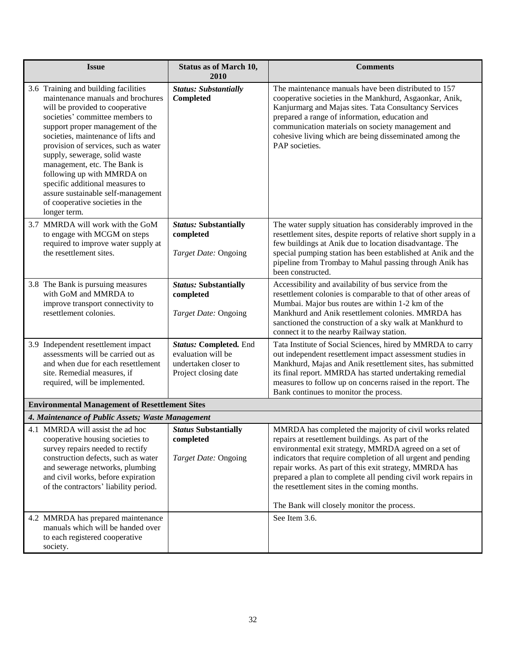| <b>Issue</b>                                                                                                                                                                                                                                                                                                                                                                                                                                                                                  | <b>Status as of March 10,</b><br>2010                                                        | <b>Comments</b>                                                                                                                                                                                                                                                                                                                                                                                                                                                |  |
|-----------------------------------------------------------------------------------------------------------------------------------------------------------------------------------------------------------------------------------------------------------------------------------------------------------------------------------------------------------------------------------------------------------------------------------------------------------------------------------------------|----------------------------------------------------------------------------------------------|----------------------------------------------------------------------------------------------------------------------------------------------------------------------------------------------------------------------------------------------------------------------------------------------------------------------------------------------------------------------------------------------------------------------------------------------------------------|--|
| 3.6 Training and building facilities<br>maintenance manuals and brochures<br>will be provided to cooperative<br>societies' committee members to<br>support proper management of the<br>societies, maintenance of lifts and<br>provision of services, such as water<br>supply, sewerage, solid waste<br>management, etc. The Bank is<br>following up with MMRDA on<br>specific additional measures to<br>assure sustainable self-management<br>of cooperative societies in the<br>longer term. | <b>Status: Substantially</b><br>Completed                                                    | The maintenance manuals have been distributed to 157<br>cooperative societies in the Mankhurd, Asgaonkar, Anik,<br>Kanjurmarg and Majas sites. Tata Consultancy Services<br>prepared a range of information, education and<br>communication materials on society management and<br>cohesive living which are being disseminated among the<br>PAP societies.                                                                                                    |  |
| 3.7 MMRDA will work with the GoM<br>to engage with MCGM on steps<br>required to improve water supply at<br>the resettlement sites.                                                                                                                                                                                                                                                                                                                                                            | <b>Status: Substantially</b><br>completed<br>Target Date: Ongoing                            | The water supply situation has considerably improved in the<br>resettlement sites, despite reports of relative short supply in a<br>few buildings at Anik due to location disadvantage. The<br>special pumping station has been established at Anik and the<br>pipeline from Trombay to Mahul passing through Anik has<br>been constructed.                                                                                                                    |  |
| 3.8 The Bank is pursuing measures<br>with GoM and MMRDA to<br>improve transport connectivity to<br>resettlement colonies.                                                                                                                                                                                                                                                                                                                                                                     | <b>Status: Substantially</b><br>completed<br>Target Date: Ongoing                            | Accessibility and availability of bus service from the<br>resettlement colonies is comparable to that of other areas of<br>Mumbai. Major bus routes are within 1-2 km of the<br>Mankhurd and Anik resettlement colonies. MMRDA has<br>sanctioned the construction of a sky walk at Mankhurd to<br>connect it to the nearby Railway station.                                                                                                                    |  |
| 3.9 Independent resettlement impact<br>assessments will be carried out as<br>and when due for each resettlement<br>site. Remedial measures, if<br>required, will be implemented.                                                                                                                                                                                                                                                                                                              | Status: Completed. End<br>evaluation will be<br>undertaken closer to<br>Project closing date | Tata Institute of Social Sciences, hired by MMRDA to carry<br>out independent resettlement impact assessment studies in<br>Mankhurd, Majas and Anik resettlement sites, has submitted<br>its final report. MMRDA has started undertaking remedial<br>measures to follow up on concerns raised in the report. The<br>Bank continues to monitor the process.                                                                                                     |  |
| <b>Environmental Management of Resettlement Sites</b>                                                                                                                                                                                                                                                                                                                                                                                                                                         |                                                                                              |                                                                                                                                                                                                                                                                                                                                                                                                                                                                |  |
| 4. Maintenance of Public Assets; Waste Management                                                                                                                                                                                                                                                                                                                                                                                                                                             |                                                                                              |                                                                                                                                                                                                                                                                                                                                                                                                                                                                |  |
| 4.1 MMRDA will assist the ad hoc<br>  Status Substantially<br>cooperative housing societies to<br>survey repairs needed to rectify<br>construction defects, such as water<br>and sewerage networks, plumbing<br>and civil works, before expiration<br>of the contractors' liability period.                                                                                                                                                                                                   | completed<br>Target Date: Ongoing                                                            | MMRDA has completed the majority of civil works related<br>repairs at resettlement buildings. As part of the<br>environmental exit strategy, MMRDA agreed on a set of<br>indicators that require completion of all urgent and pending<br>repair works. As part of this exit strategy, MMRDA has<br>prepared a plan to complete all pending civil work repairs in<br>the resettlement sites in the coming months.<br>The Bank will closely monitor the process. |  |
| 4.2 MMRDA has prepared maintenance<br>manuals which will be handed over<br>to each registered cooperative<br>society.                                                                                                                                                                                                                                                                                                                                                                         |                                                                                              | See Item 3.6.                                                                                                                                                                                                                                                                                                                                                                                                                                                  |  |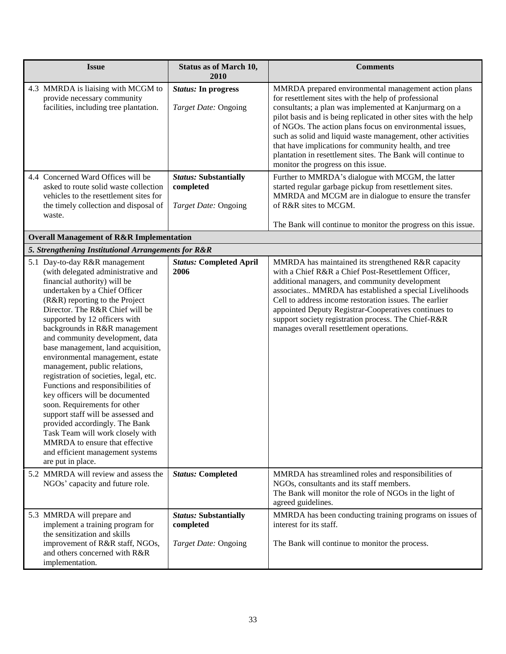| <i><b>Issue</b></i>                                                                                                                                                      | <b>Status as of March 10,</b><br>2010                                    | <b>Comments</b>                                                                                                                                                                                                                                                                                                                                                                                                                                                                                                                      |
|--------------------------------------------------------------------------------------------------------------------------------------------------------------------------|--------------------------------------------------------------------------|--------------------------------------------------------------------------------------------------------------------------------------------------------------------------------------------------------------------------------------------------------------------------------------------------------------------------------------------------------------------------------------------------------------------------------------------------------------------------------------------------------------------------------------|
| 4.3 MMRDA is liaising with MCGM to<br>provide necessary community<br>facilities, including tree plantation.                                                              | <i>Status:</i> In progress<br><i>Target Date: Ongoing</i>                | MMRDA prepared environmental management action plans<br>for resettlement sites with the help of professional<br>consultants; a plan was implemented at Kanjurmarg on a<br>pilot basis and is being replicated in other sites with the help<br>of NGOs. The action plans focus on environmental issues,<br>such as solid and liquid waste management, other activities<br>that have implications for community health, and tree<br>plantation in resettlement sites. The Bank will continue to<br>monitor the progress on this issue. |
| 4.4 Concerned Ward Offices will be<br>asked to route solid waste collection<br>vehicles to the resettlement sites for<br>the timely collection and disposal of<br>waste. | <b>Status: Substantially</b><br>completed<br><i>Target Date: Ongoing</i> | Further to MMRDA's dialogue with MCGM, the latter<br>started regular garbage pickup from resettlement sites.<br>MMRDA and MCGM are in dialogue to ensure the transfer<br>of R&R sites to MCGM.<br>The Bank will continue to monitor the progress on this issue.                                                                                                                                                                                                                                                                      |

# **Overall Management of R&R Implementation**

### *5. Strengthening Institutional Arrangements for R&R*

| 5.1 Day-to-day R&R management<br>(with delegated administrative and<br>financial authority) will be<br>undertaken by a Chief Officer<br>(R&R) reporting to the Project<br>Director. The R&R Chief will be<br>supported by 12 officers with<br>backgrounds in R&R management<br>and community development, data<br>base management, land acquisition,<br>environmental management, estate<br>management, public relations,<br>registration of societies, legal, etc.<br>Functions and responsibilities of<br>key officers will be documented<br>soon. Requirements for other<br>support staff will be assessed and<br>provided accordingly. The Bank<br>Task Team will work closely with<br>MMRDA to ensure that effective<br>and efficient management systems<br>are put in place. | <b>Status: Completed April</b><br>2006                            | MMRDA has maintained its strengthened R&R capacity<br>with a Chief R&R a Chief Post-Resettlement Officer,<br>additional managers, and community development<br>associates MMRDA has established a special Livelihoods<br>Cell to address income restoration issues. The earlier<br>appointed Deputy Registrar-Cooperatives continues to<br>support society registration process. The Chief-R&R<br>manages overall resettlement operations. |
|------------------------------------------------------------------------------------------------------------------------------------------------------------------------------------------------------------------------------------------------------------------------------------------------------------------------------------------------------------------------------------------------------------------------------------------------------------------------------------------------------------------------------------------------------------------------------------------------------------------------------------------------------------------------------------------------------------------------------------------------------------------------------------|-------------------------------------------------------------------|--------------------------------------------------------------------------------------------------------------------------------------------------------------------------------------------------------------------------------------------------------------------------------------------------------------------------------------------------------------------------------------------------------------------------------------------|
| 5.2 MMRDA will review and assess the<br>NGOs' capacity and future role.                                                                                                                                                                                                                                                                                                                                                                                                                                                                                                                                                                                                                                                                                                            | <b>Status: Completed</b>                                          | MMRDA has streamlined roles and responsibilities of<br>NGOs, consultants and its staff members.<br>The Bank will monitor the role of NGOs in the light of<br>agreed guidelines.                                                                                                                                                                                                                                                            |
| 5.3 MMRDA will prepare and<br>implement a training program for<br>the sensitization and skills<br>improvement of R&R staff, NGOs,<br>and others concerned with R&R<br>implementation.                                                                                                                                                                                                                                                                                                                                                                                                                                                                                                                                                                                              | <b>Status: Substantially</b><br>completed<br>Target Date: Ongoing | MMRDA has been conducting training programs on issues of<br>interest for its staff.<br>The Bank will continue to monitor the process.                                                                                                                                                                                                                                                                                                      |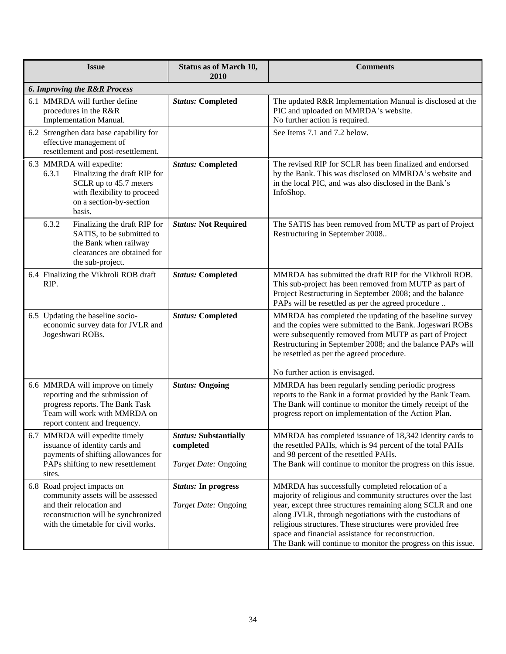| <b>Issue</b>                                                                                                                                                               | <b>Status as of March 10,</b><br>2010                             | <b>Comments</b>                                                                                                                                                                                                                                                                                                                                                                                                               |  |
|----------------------------------------------------------------------------------------------------------------------------------------------------------------------------|-------------------------------------------------------------------|-------------------------------------------------------------------------------------------------------------------------------------------------------------------------------------------------------------------------------------------------------------------------------------------------------------------------------------------------------------------------------------------------------------------------------|--|
| <b>6. Improving the R&amp;R Process</b>                                                                                                                                    |                                                                   |                                                                                                                                                                                                                                                                                                                                                                                                                               |  |
| 6.1 MMRDA will further define<br>procedures in the R&R<br><b>Implementation Manual.</b>                                                                                    | <b>Status: Completed</b>                                          | The updated R&R Implementation Manual is disclosed at the<br>PIC and uploaded on MMRDA's website.<br>No further action is required.                                                                                                                                                                                                                                                                                           |  |
| 6.2 Strengthen data base capability for<br>effective management of<br>resettlement and post-resettlement.                                                                  |                                                                   | See Items 7.1 and 7.2 below.                                                                                                                                                                                                                                                                                                                                                                                                  |  |
| 6.3 MMRDA will expedite:<br>6.3.1<br>Finalizing the draft RIP for<br>SCLR up to 45.7 meters<br>with flexibility to proceed<br>on a section-by-section<br>basis.            | <b>Status: Completed</b>                                          | The revised RIP for SCLR has been finalized and endorsed<br>by the Bank. This was disclosed on MMRDA's website and<br>in the local PIC, and was also disclosed in the Bank's<br>InfoShop.                                                                                                                                                                                                                                     |  |
| 6.3.2<br>Finalizing the draft RIP for<br>SATIS, to be submitted to<br>the Bank when railway<br>clearances are obtained for<br>the sub-project.                             | <b>Status: Not Required</b>                                       | The SATIS has been removed from MUTP as part of Project<br>Restructuring in September 2008                                                                                                                                                                                                                                                                                                                                    |  |
| 6.4 Finalizing the Vikhroli ROB draft<br>RIP.                                                                                                                              | <b>Status: Completed</b>                                          | MMRDA has submitted the draft RIP for the Vikhroli ROB.<br>This sub-project has been removed from MUTP as part of<br>Project Restructuring in September 2008; and the balance<br>PAPs will be resettled as per the agreed procedure                                                                                                                                                                                           |  |
| 6.5 Updating the baseline socio-<br>economic survey data for JVLR and<br>Jogeshwari ROBs.                                                                                  | <b>Status: Completed</b>                                          | MMRDA has completed the updating of the baseline survey<br>and the copies were submitted to the Bank. Jogeswari ROBs<br>were subsequently removed from MUTP as part of Project<br>Restructuring in September 2008; and the balance PAPs will<br>be resettled as per the agreed procedure.                                                                                                                                     |  |
|                                                                                                                                                                            |                                                                   | No further action is envisaged.                                                                                                                                                                                                                                                                                                                                                                                               |  |
| 6.6 MMRDA will improve on timely<br>reporting and the submission of<br>progress reports. The Bank Task<br>Team will work with MMRDA on<br>report content and frequency.    | <b>Status: Ongoing</b>                                            | MMRDA has been regularly sending periodic progress<br>reports to the Bank in a format provided by the Bank Team.<br>The Bank will continue to monitor the timely receipt of the<br>progress report on implementation of the Action Plan.                                                                                                                                                                                      |  |
| 6.7 MMRDA will expedite timely<br>issuance of identity cards and<br>payments of shifting allowances for<br>PAPs shifting to new resettlement<br>sites.                     | <b>Status: Substantially</b><br>completed<br>Target Date: Ongoing | MMRDA has completed issuance of 18,342 identity cards to<br>the resettled PAHs, which is 94 percent of the total PAHs<br>and 98 percent of the resettled PAHs.<br>The Bank will continue to monitor the progress on this issue.                                                                                                                                                                                               |  |
| 6.8 Road project impacts on<br>community assets will be assessed<br>and their relocation and<br>reconstruction will be synchronized<br>with the timetable for civil works. | <b>Status:</b> In progress<br>Target Date: Ongoing                | MMRDA has successfully completed relocation of a<br>majority of religious and community structures over the last<br>year, except three structures remaining along SCLR and one<br>along JVLR, through negotiations with the custodians of<br>religious structures. These structures were provided free<br>space and financial assistance for reconstruction.<br>The Bank will continue to monitor the progress on this issue. |  |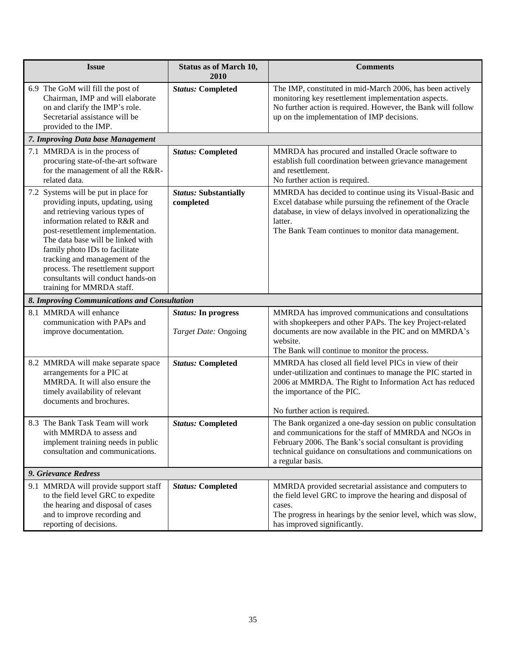| <b>Issue</b>                                                                                                                                                                                                                                                                                                                                                                                        | <b>Status as of March 10,</b><br>2010              | <b>Comments</b>                                                                                                                                                                                                                                                   |
|-----------------------------------------------------------------------------------------------------------------------------------------------------------------------------------------------------------------------------------------------------------------------------------------------------------------------------------------------------------------------------------------------------|----------------------------------------------------|-------------------------------------------------------------------------------------------------------------------------------------------------------------------------------------------------------------------------------------------------------------------|
| 6.9 The GoM will fill the post of<br>Chairman, IMP and will elaborate<br>on and clarify the IMP's role.<br>Secretarial assistance will be<br>provided to the IMP.                                                                                                                                                                                                                                   | <b>Status: Completed</b>                           | The IMP, constituted in mid-March 2006, has been actively<br>monitoring key resettlement implementation aspects.<br>No further action is required. However, the Bank will follow<br>up on the implementation of IMP decisions.                                    |
| 7. Improving Data base Management                                                                                                                                                                                                                                                                                                                                                                   |                                                    |                                                                                                                                                                                                                                                                   |
| 7.1 MMRDA is in the process of<br>procuring state-of-the-art software<br>for the management of all the R&R-<br>related data.                                                                                                                                                                                                                                                                        | <b>Status: Completed</b>                           | MMRDA has procured and installed Oracle software to<br>establish full coordination between grievance management<br>and resettlement.<br>No further action is required.                                                                                            |
| 7.2 Systems will be put in place for<br>providing inputs, updating, using<br>and retrieving various types of<br>information related to R&R and<br>post-resettlement implementation.<br>The data base will be linked with<br>family photo IDs to facilitate<br>tracking and management of the<br>process. The resettlement support<br>consultants will conduct hands-on<br>training for MMRDA staff. | <b>Status:</b> Substantially<br>completed          | MMRDA has decided to continue using its Visual-Basic and<br>Excel database while pursuing the refinement of the Oracle<br>database, in view of delays involved in operationalizing the<br>latter.<br>The Bank Team continues to monitor data management.          |
| 8. Improving Communications and Consultation                                                                                                                                                                                                                                                                                                                                                        |                                                    |                                                                                                                                                                                                                                                                   |
| 8.1 MMRDA will enhance<br>communication with PAPs and<br>improve documentation.                                                                                                                                                                                                                                                                                                                     | <b>Status:</b> In progress<br>Target Date: Ongoing | MMRDA has improved communications and consultations<br>with shopkeepers and other PAPs. The key Project-related<br>documents are now available in the PIC and on MMRDA's<br>website.<br>The Bank will continue to monitor the process.                            |
| 8.2 MMRDA will make separate space<br>arrangements for a PIC at<br>MMRDA. It will also ensure the<br>timely availability of relevant<br>documents and brochures.                                                                                                                                                                                                                                    | <b>Status: Completed</b>                           | MMRDA has closed all field level PICs in view of their<br>under-utilization and continues to manage the PIC started in<br>2006 at MMRDA. The Right to Information Act has reduced<br>the importance of the PIC.<br>No further action is required.                 |
| 8.3 The Bank Task Team will work<br>with MMRDA to assess and<br>implement training needs in public<br>consultation and communications.                                                                                                                                                                                                                                                              | <b>Status: Completed</b>                           | The Bank organized a one-day session on public consultation<br>and communications for the staff of MMRDA and NGOs in<br>February 2006. The Bank's social consultant is providing<br>technical guidance on consultations and communications on<br>a regular basis. |
| 9. Grievance Redress                                                                                                                                                                                                                                                                                                                                                                                |                                                    |                                                                                                                                                                                                                                                                   |
| 9.1 MMRDA will provide support staff<br>to the field level GRC to expedite<br>the hearing and disposal of cases<br>and to improve recording and<br>reporting of decisions.                                                                                                                                                                                                                          | <b>Status: Completed</b>                           | MMRDA provided secretarial assistance and computers to<br>the field level GRC to improve the hearing and disposal of<br>cases.<br>The progress in hearings by the senior level, which was slow,<br>has improved significantly.                                    |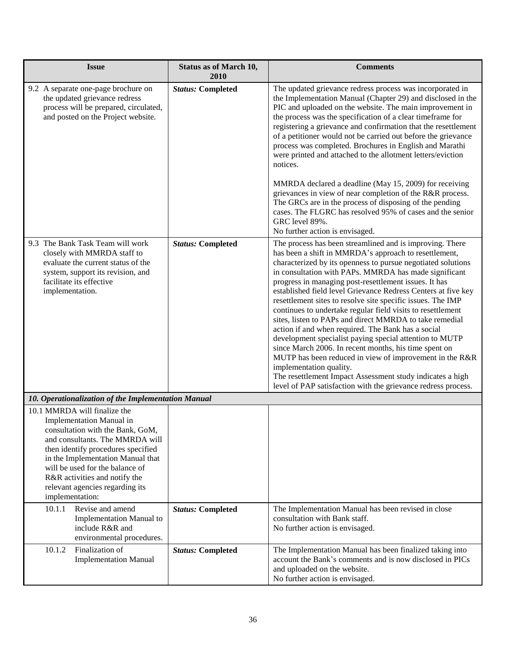| <b>Issue</b>                                                                                                                                                                                                                                                                                                                         | <b>Status as of March 10,</b><br>2010 | <b>Comments</b>                                                                                                                                                                                                                                                                                                                                                                                                                                                                                                                                                                                                                                                                                                                                                                                                                                                                                                                                             |
|--------------------------------------------------------------------------------------------------------------------------------------------------------------------------------------------------------------------------------------------------------------------------------------------------------------------------------------|---------------------------------------|-------------------------------------------------------------------------------------------------------------------------------------------------------------------------------------------------------------------------------------------------------------------------------------------------------------------------------------------------------------------------------------------------------------------------------------------------------------------------------------------------------------------------------------------------------------------------------------------------------------------------------------------------------------------------------------------------------------------------------------------------------------------------------------------------------------------------------------------------------------------------------------------------------------------------------------------------------------|
| 9.2 A separate one-page brochure on<br>the updated grievance redress<br>process will be prepared, circulated,<br>and posted on the Project website.                                                                                                                                                                                  | <b>Status: Completed</b>              | The updated grievance redress process was incorporated in<br>the Implementation Manual (Chapter 29) and disclosed in the<br>PIC and uploaded on the website. The main improvement in<br>the process was the specification of a clear timeframe for<br>registering a grievance and confirmation that the resettlement<br>of a petitioner would not be carried out before the grievance<br>process was completed. Brochures in English and Marathi<br>were printed and attached to the allotment letters/eviction<br>notices.<br>MMRDA declared a deadline (May 15, 2009) for receiving<br>grievances in view of near completion of the R&R process.<br>The GRCs are in the process of disposing of the pending<br>cases. The FLGRC has resolved 95% of cases and the senior<br>GRC level 89%.<br>No further action is envisaged.                                                                                                                             |
| 9.3 The Bank Task Team will work<br>closely with MMRDA staff to<br>evaluate the current status of the<br>system, support its revision, and<br>facilitate its effective<br>implementation.                                                                                                                                            | <b>Status: Completed</b>              | The process has been streamlined and is improving. There<br>has been a shift in MMRDA's approach to resettlement,<br>characterized by its openness to pursue negotiated solutions<br>in consultation with PAPs. MMRDA has made significant<br>progress in managing post-resettlement issues. It has<br>established field level Grievance Redress Centers at five key<br>resettlement sites to resolve site specific issues. The IMP<br>continues to undertake regular field visits to resettlement<br>sites, listen to PAPs and direct MMRDA to take remedial<br>action if and when required. The Bank has a social<br>development specialist paying special attention to MUTP<br>since March 2006. In recent months, his time spent on<br>MUTP has been reduced in view of improvement in the R&R<br>implementation quality.<br>The resettlement Impact Assessment study indicates a high<br>level of PAP satisfaction with the grievance redress process. |
| 10. Operationalization of the Implementation Manual                                                                                                                                                                                                                                                                                  |                                       |                                                                                                                                                                                                                                                                                                                                                                                                                                                                                                                                                                                                                                                                                                                                                                                                                                                                                                                                                             |
| 10.1 MMRDA will finalize the<br>Implementation Manual in<br>consultation with the Bank, GoM,<br>and consultants. The MMRDA will<br>then identify procedures specified<br>in the Implementation Manual that<br>will be used for the balance of<br>R&R activities and notify the<br>relevant agencies regarding its<br>implementation: |                                       |                                                                                                                                                                                                                                                                                                                                                                                                                                                                                                                                                                                                                                                                                                                                                                                                                                                                                                                                                             |
| 10.1.1<br>Revise and amend<br>Implementation Manual to<br>include R&R and<br>environmental procedures.                                                                                                                                                                                                                               | <b>Status: Completed</b>              | The Implementation Manual has been revised in close<br>consultation with Bank staff.<br>No further action is envisaged.                                                                                                                                                                                                                                                                                                                                                                                                                                                                                                                                                                                                                                                                                                                                                                                                                                     |
| 10.1.2<br>Finalization of<br><b>Implementation Manual</b>                                                                                                                                                                                                                                                                            | <b>Status: Completed</b>              | The Implementation Manual has been finalized taking into<br>account the Bank's comments and is now disclosed in PICs<br>and uploaded on the website.<br>No further action is envisaged.                                                                                                                                                                                                                                                                                                                                                                                                                                                                                                                                                                                                                                                                                                                                                                     |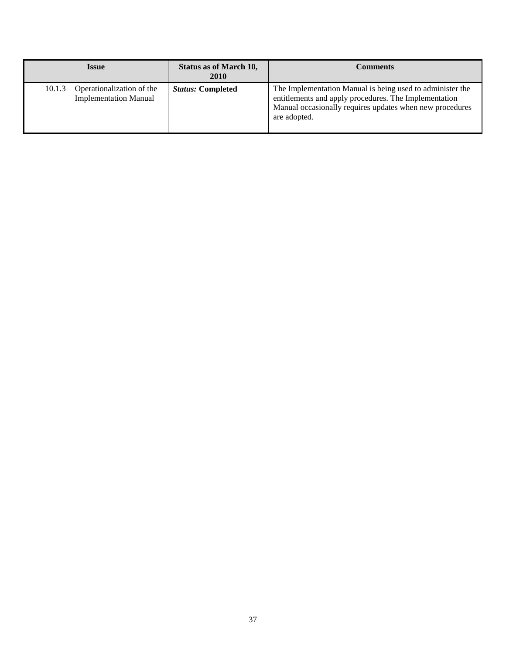| <i><b>Issue</b></i>                                                 |  | <b>Status as of March 10,</b><br><b>2010</b> | <b>Comments</b>                                                                                                                                                                                |
|---------------------------------------------------------------------|--|----------------------------------------------|------------------------------------------------------------------------------------------------------------------------------------------------------------------------------------------------|
| Operationalization of the<br>10.1.3<br><b>Implementation Manual</b> |  | <b>Status: Completed</b>                     | The Implementation Manual is being used to administer the<br>entitlements and apply procedures. The Implementation<br>Manual occasionally requires updates when new procedures<br>are adopted. |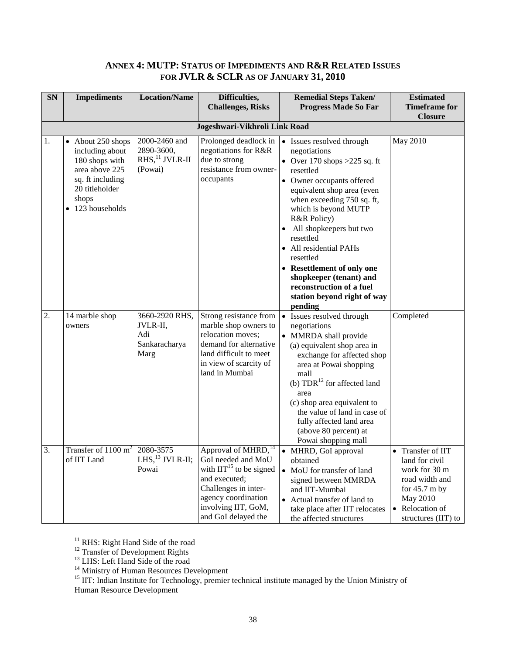# <span id="page-37-0"></span>**ANNEX 4: MUTP: STATUS OF IMPEDIMENTS AND R&R RELATED ISSUES FOR JVLR & SCLR AS OF JANUARY 31, 2010**

| <b>SN</b> | <b>Impediments</b>                                                                                                                        | <b>Location/Name</b>                                                    | Difficulties,<br><b>Challenges, Risks</b>                                                                                                                                                                                              | <b>Remedial Steps Taken/</b><br><b>Progress Made So Far</b>                                                                                                                                                                                                                                                                                                                                                                          | <b>Estimated</b><br><b>Timeframe for</b><br><b>Closure</b>                                                                                                         |  |  |
|-----------|-------------------------------------------------------------------------------------------------------------------------------------------|-------------------------------------------------------------------------|----------------------------------------------------------------------------------------------------------------------------------------------------------------------------------------------------------------------------------------|--------------------------------------------------------------------------------------------------------------------------------------------------------------------------------------------------------------------------------------------------------------------------------------------------------------------------------------------------------------------------------------------------------------------------------------|--------------------------------------------------------------------------------------------------------------------------------------------------------------------|--|--|
|           | Jogeshwari-Vikhroli Link Road                                                                                                             |                                                                         |                                                                                                                                                                                                                                        |                                                                                                                                                                                                                                                                                                                                                                                                                                      |                                                                                                                                                                    |  |  |
| 1.        | • About 250 shops<br>including about<br>180 shops with<br>area above 225<br>sq. ft including<br>20 titleholder<br>shops<br>123 households | 2000-2460 and<br>2890-3600,<br>$RHS$ , <sup>11</sup> JVLR-II<br>(Powai) | Prolonged deadlock in<br>negotiations for R&R<br>due to strong<br>resistance from owner-<br>occupants                                                                                                                                  | • Issues resolved through<br>negotiations<br>• Over 170 shops $>225$ sq. ft<br>resettled<br>• Owner occupants offered<br>equivalent shop area (even<br>when exceeding 750 sq. ft,<br>which is beyond MUTP<br>R&R Policy)<br>All shopkeepers but two<br>resettled<br>All residential PAHs<br>resettled<br>• Resettlement of only one<br>shopkeeper (tenant) and<br>reconstruction of a fuel<br>station beyond right of way<br>pending | May 2010                                                                                                                                                           |  |  |
| 2.        | 14 marble shop<br>owners                                                                                                                  | 3660-2920 RHS,<br>JVLR-II,<br>Adi<br>Sankaracharya<br>Marg              | Strong resistance from<br>marble shop owners to<br>relocation moves;<br>demand for alternative<br>land difficult to meet<br>in view of scarcity of<br>land in Mumbai                                                                   | $\bullet$<br>Issues resolved through<br>negotiations<br>• MMRDA shall provide<br>(a) equivalent shop area in<br>exchange for affected shop<br>area at Powai shopping<br>mall<br>(b) TDR <sup>12</sup> for affected land<br>area<br>(c) shop area equivalent to<br>the value of land in case of<br>fully affected land area<br>(above 80 percent) at<br>Powai shopping mall                                                           | Completed                                                                                                                                                          |  |  |
| 3.        | Transfer of $1100 \text{ m}^2$<br>of IIT Land                                                                                             | 2080-3575<br>Powai                                                      | Approval of MHRD, <sup>14</sup><br>LHS, <sup>13</sup> JVLR-II; GoI needed and MoU<br>with $\text{IIT}^{15}$ to be signed<br>and executed;<br>Challenges in inter-<br>agency coordination<br>involving IIT, GoM,<br>and GoI delayed the | • MHRD, GoI approval<br>obtained<br>• MoU for transfer of land<br>signed between MMRDA<br>and IIT-Mumbai<br>• Actual transfer of land to<br>take place after IIT relocates<br>the affected structures                                                                                                                                                                                                                                | • Transfer of IIT<br>land for civil<br>work for 30 m<br>road width and<br>for $45.7 \text{ m}$ by<br>May 2010<br>Relocation of<br>$\bullet$<br>structures (IIT) to |  |  |

<sup>11</sup> RHS: Right Hand Side of the road

 $\overline{a}$ 

<sup>12</sup> Transfer of Development Rights

<sup>13</sup> LHS: Left Hand Side of the road

<sup>14</sup> Ministry of Human Resources Development

<sup>15</sup> IIT: Indian Institute for Technology, premier technical institute managed by the Union Ministry of Human Resource Development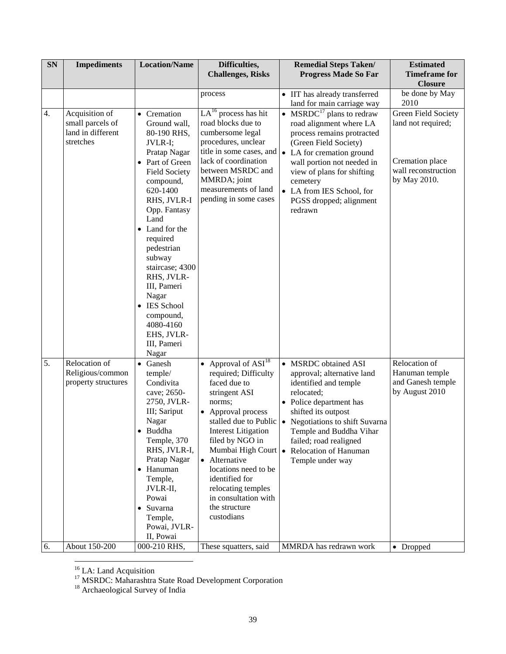| SN | <b>Impediments</b>                                                   | <b>Location/Name</b>                                                                                                                                                                                                                                                                                                                                                            | Difficulties,<br><b>Challenges, Risks</b>                                                                                                                                                                                                                                                                                                      | <b>Remedial Steps Taken/</b><br><b>Progress Made So Far</b>                                                                                                                                                                                                                                          | <b>Estimated</b><br><b>Timeframe for</b>                                                            |
|----|----------------------------------------------------------------------|---------------------------------------------------------------------------------------------------------------------------------------------------------------------------------------------------------------------------------------------------------------------------------------------------------------------------------------------------------------------------------|------------------------------------------------------------------------------------------------------------------------------------------------------------------------------------------------------------------------------------------------------------------------------------------------------------------------------------------------|------------------------------------------------------------------------------------------------------------------------------------------------------------------------------------------------------------------------------------------------------------------------------------------------------|-----------------------------------------------------------------------------------------------------|
|    |                                                                      |                                                                                                                                                                                                                                                                                                                                                                                 |                                                                                                                                                                                                                                                                                                                                                |                                                                                                                                                                                                                                                                                                      | <b>Closure</b>                                                                                      |
|    |                                                                      |                                                                                                                                                                                                                                                                                                                                                                                 | process                                                                                                                                                                                                                                                                                                                                        | • IIT has already transferred<br>land for main carriage way                                                                                                                                                                                                                                          | be done by May<br>2010                                                                              |
| 4. | Acquisition of<br>small parcels of<br>land in different<br>stretches | • Cremation<br>Ground wall,<br>80-190 RHS,<br>JVLR-I;<br>Pratap Nagar<br>• Part of Green<br><b>Field Society</b><br>compound,<br>620-1400<br>RHS, JVLR-I<br>Opp. Fantasy<br>Land<br>• Land for the<br>required<br>pedestrian<br>subway<br>staircase; 4300<br>RHS, JVLR-<br>III, Pameri<br>Nagar<br>• IES School<br>compound,<br>4080-4160<br>EHS, JVLR-<br>III, Pameri<br>Nagar | $LA16$ process has hit<br>road blocks due to<br>cumbersome legal<br>procedures, unclear<br>title in some cases, and<br>lack of coordination<br>between MSRDC and<br>MMRDA; joint<br>measurements of land<br>pending in some cases                                                                                                              | • MSRDC <sup>17</sup> plans to redraw<br>road alignment where LA<br>process remains protracted<br>(Green Field Society)<br>• LA for cremation ground<br>wall portion not needed in<br>view of plans for shifting<br>cemetery<br>• LA from IES School, for<br>PGSS dropped; alignment<br>redrawn      | Green Field Society<br>land not required;<br>Cremation place<br>wall reconstruction<br>by May 2010. |
| 5. | Relocation of<br>Religious/common<br>property structures             | • Ganesh<br>temple/<br>Condivita<br>cave; 2650-<br>2750, JVLR-<br>III; Sariput<br>Nagar<br>· Buddha<br>Temple, 370<br>RHS, JVLR-I,<br>Pratap Nagar<br>• Hanuman<br>Temple,<br>JVLR-II,<br>Powai<br>• Suvarna<br>Temple,<br>Powai, JVLR-<br>II, Powai                                                                                                                            | • Approval of $\overline{ASI}^{18}$<br>required; Difficulty<br>faced due to<br>stringent ASI<br>norms;<br>• Approval process<br>stalled due to Public<br><b>Interest Litigation</b><br>filed by NGO in<br>• Alternative<br>locations need to be<br>identified for<br>relocating temples<br>in consultation with<br>the structure<br>custodians | • MSRDC obtained ASI<br>approval; alternative land<br>identified and temple<br>relocated;<br>• Police department has<br>shifted its outpost<br>• Negotiations to shift Suvarna<br>Temple and Buddha Vihar<br>failed; road realigned<br>Mumbai High Court • Relocation of Hanuman<br>Temple under way | Relocation of<br>Hanuman temple<br>and Ganesh temple<br>by August 2010                              |
| 6. | About 150-200                                                        | 000-210 RHS,                                                                                                                                                                                                                                                                                                                                                                    | These squatters, said                                                                                                                                                                                                                                                                                                                          | MMRDA has redrawn work                                                                                                                                                                                                                                                                               | • Dropped                                                                                           |

<sup>16</sup> LA: Land Acquisition

 $\overline{a}$ 

<sup>18</sup> Archaeological Survey of India

<sup>&</sup>lt;sup>17</sup> MSRDC: Maharashtra State Road Development Corporation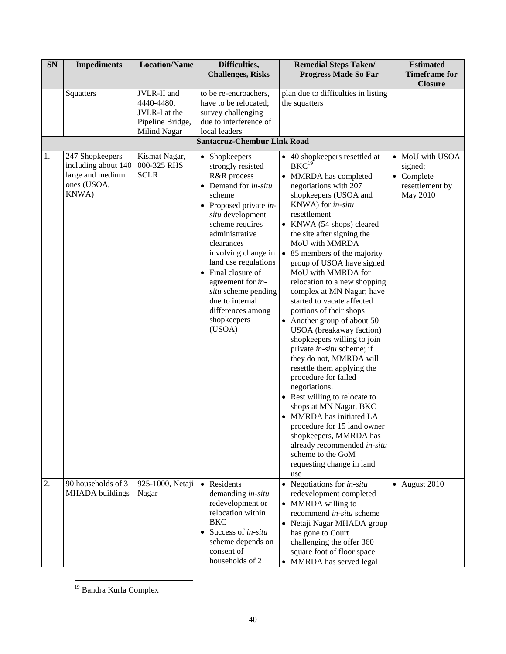| SN | <b>Impediments</b>                                                                 | <b>Location/Name</b>                                                           | Difficulties,<br><b>Challenges, Risks</b>                                                                                                                                                                                                                                                                                                                                                             | <b>Remedial Steps Taken/</b><br><b>Progress Made So Far</b>                                                                                                                                                                                                                                                                                                                                                                                                                                                                                                                                                                                                                                                                                                                                                                                                                                                                | <b>Estimated</b><br><b>Timeframe for</b><br><b>Closure</b>              |
|----|------------------------------------------------------------------------------------|--------------------------------------------------------------------------------|-------------------------------------------------------------------------------------------------------------------------------------------------------------------------------------------------------------------------------------------------------------------------------------------------------------------------------------------------------------------------------------------------------|----------------------------------------------------------------------------------------------------------------------------------------------------------------------------------------------------------------------------------------------------------------------------------------------------------------------------------------------------------------------------------------------------------------------------------------------------------------------------------------------------------------------------------------------------------------------------------------------------------------------------------------------------------------------------------------------------------------------------------------------------------------------------------------------------------------------------------------------------------------------------------------------------------------------------|-------------------------------------------------------------------------|
|    | Squatters                                                                          | JVLR-II and<br>4440-4480,<br>JVLR-I at the<br>Pipeline Bridge,<br>Milind Nagar | to be re-encroachers,<br>have to be relocated;<br>survey challenging<br>due to interference of<br>local leaders                                                                                                                                                                                                                                                                                       | plan due to difficulties in listing<br>the squatters                                                                                                                                                                                                                                                                                                                                                                                                                                                                                                                                                                                                                                                                                                                                                                                                                                                                       |                                                                         |
|    |                                                                                    |                                                                                | <b>Santacruz-Chembur Link Road</b>                                                                                                                                                                                                                                                                                                                                                                    |                                                                                                                                                                                                                                                                                                                                                                                                                                                                                                                                                                                                                                                                                                                                                                                                                                                                                                                            |                                                                         |
| 1. | 247 Shopkeepers<br>including about 140<br>large and medium<br>ones (USOA,<br>KNWA) | Kismat Nagar,<br>000-325 RHS<br><b>SCLR</b>                                    | • Shopkeepers<br>strongly resisted<br>R&R process<br>$\bullet$ Demand for <i>in-situ</i><br>scheme<br>$\bullet$ Proposed private <i>in</i> -<br>situ development<br>scheme requires<br>administrative<br>clearances<br>involving change in<br>land use regulations<br>• Final closure of<br>agreement for in-<br>situ scheme pending<br>due to internal<br>differences among<br>shopkeepers<br>(USOA) | • 40 shopkeepers resettled at<br>BKC <sup>19</sup><br>MMRDA has completed<br>negotiations with 207<br>shopkeepers (USOA and<br>KNWA) for in-situ<br>resettlement<br>• KNWA (54 shops) cleared<br>the site after signing the<br>MoU with MMRDA<br>• 85 members of the majority<br>group of USOA have signed<br>MoU with MMRDA for<br>relocation to a new shopping<br>complex at MN Nagar; have<br>started to vacate affected<br>portions of their shops<br>Another group of about 50<br>USOA (breakaway faction)<br>shopkeepers willing to join<br>private in-situ scheme; if<br>they do not, MMRDA will<br>resettle them applying the<br>procedure for failed<br>negotiations.<br>• Rest willing to relocate to<br>shops at MN Nagar, BKC<br>MMRDA has initiated LA<br>$\bullet$<br>procedure for 15 land owner<br>shopkeepers, MMRDA has<br>already recommended in-situ<br>scheme to the GoM<br>requesting change in land | • MoU with USOA<br>signed;<br>• Complete<br>resettlement by<br>May 2010 |
| 2. | 90 households of 3<br><b>MHADA</b> buildings                                       | 925-1000, Netaji<br>Nagar                                                      | • Residents<br>demanding in-situ<br>redevelopment or<br>relocation within<br><b>BKC</b><br>Success of in-situ<br>scheme depends on<br>consent of<br>households of 2                                                                                                                                                                                                                                   | use<br>$\bullet$ Negotiations for <i>in-situ</i><br>redevelopment completed<br>• MMRDA willing to<br>recommend in-situ scheme<br>Netaji Nagar MHADA group<br>has gone to Court<br>challenging the offer 360<br>square foot of floor space<br>MMRDA has served legal<br>$\bullet$                                                                                                                                                                                                                                                                                                                                                                                                                                                                                                                                                                                                                                           | $\bullet$ August 2010                                                   |

 $\overline{a}$ <sup>19</sup> Bandra Kurla Complex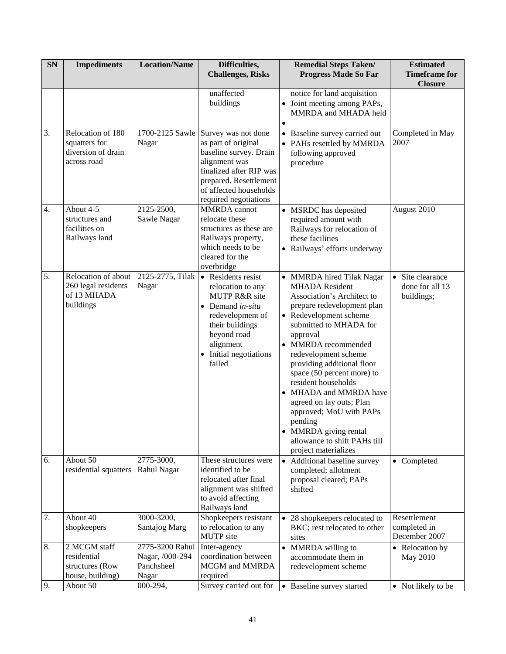| <b>SN</b> | <b>Impediments</b>                                                      | <b>Location/Name</b>                                      | Difficulties,<br><b>Challenges, Risks</b>                                                                                                                                                                     | <b>Remedial Steps Taken/</b><br><b>Estimated</b><br><b>Timeframe for</b><br><b>Progress Made So Far</b><br><b>Closure</b>                                                                                                                                                                                                                                                                                                                                                                                                                                     |
|-----------|-------------------------------------------------------------------------|-----------------------------------------------------------|---------------------------------------------------------------------------------------------------------------------------------------------------------------------------------------------------------------|---------------------------------------------------------------------------------------------------------------------------------------------------------------------------------------------------------------------------------------------------------------------------------------------------------------------------------------------------------------------------------------------------------------------------------------------------------------------------------------------------------------------------------------------------------------|
|           |                                                                         |                                                           | unaffected<br>buildings                                                                                                                                                                                       | notice for land acquisition<br>• Joint meeting among PAPs,<br>MMRDA and MHADA held<br>$\bullet$                                                                                                                                                                                                                                                                                                                                                                                                                                                               |
| 3.        | Relocation of 180<br>squatters for<br>diversion of drain<br>across road | Nagar                                                     | 1700-2125 Sawle Survey was not done<br>as part of original<br>baseline survey. Drain<br>alignment was<br>finalized after RIP was<br>prepared. Resettlement<br>of affected households<br>required negotiations | Completed in May<br>• Baseline survey carried out<br>2007<br>• PAHs resettled by MMRDA<br>following approved<br>procedure                                                                                                                                                                                                                                                                                                                                                                                                                                     |
| 4.        | About 4-5<br>structures and<br>facilities on<br>Railways land           | 2125-2500,<br>Sawle Nagar                                 | <b>MMRDA</b> cannot<br>relocate these<br>structures as these are<br>Railways property,<br>which needs to be<br>cleared for the<br>overbridge                                                                  | August 2010<br>• MSRDC has deposited<br>required amount with<br>Railways for relocation of<br>these facilities<br>• Railways' efforts underway                                                                                                                                                                                                                                                                                                                                                                                                                |
| 5.        | Relocation of about<br>260 legal residents<br>of 13 MHADA<br>buildings  | 2125-2775, Tilak<br>Nagar                                 | • Residents resist<br>relocation to any<br><b>MUTP R&amp;R</b> site<br>$\bullet$ Demand <i>in-situ</i><br>redevelopment of<br>their buildings<br>beyond road<br>alignment<br>• Initial negotiations<br>failed | • Site clearance<br>• MMRDA hired Tilak Nagar<br><b>MHADA</b> Resident<br>done for all 13<br>Association's Architect to<br>buildings;<br>prepare redevelopment plan<br>• Redevelopment scheme<br>submitted to MHADA for<br>approval<br>• MMRDA recommended<br>redevelopment scheme<br>providing additional floor<br>space (50 percent more) to<br>resident households<br>MHADA and MMRDA have<br>$\bullet$<br>agreed on lay outs; Plan<br>approved; MoU with PAPs<br>pending<br>• MMRDA giving rental<br>allowance to shift PAHs till<br>project materializes |
| 6.        | About 50<br>residential squatters                                       | 2775-3000,<br>Rahul Nagar                                 | These structures were<br>identified to be<br>relocated after final<br>alignment was shifted<br>to avoid affecting<br>Railways land                                                                            | Additional baseline survey<br>• Completed<br>$\bullet$<br>completed; allotment<br>proposal cleared; PAPs<br>shifted                                                                                                                                                                                                                                                                                                                                                                                                                                           |
| 7.        | About 40<br>shopkeepers                                                 | 3000-3200,<br>Santajog Marg                               | Shopkeepers resistant<br>to relocation to any<br><b>MUTP</b> site                                                                                                                                             | Resettlement<br>• 28 shopkeepers relocated to<br>completed in<br>BKC; rest relocated to other<br>December 2007<br>sites                                                                                                                                                                                                                                                                                                                                                                                                                                       |
| 8.        | 2 MCGM staff<br>residential<br>structures (Row<br>house, building)      | 2775-3200 Rahul<br>Nagar, /000-294<br>Panchsheel<br>Nagar | Inter-agency<br>coordination between<br><b>MCGM</b> and <b>MMRDA</b><br>required                                                                                                                              | MMRDA willing to<br>• Relocation by<br>$\bullet$<br>accommodate them in<br>May 2010<br>redevelopment scheme                                                                                                                                                                                                                                                                                                                                                                                                                                                   |
| 9.        | About 50                                                                | 000-294,                                                  | Survey carried out for                                                                                                                                                                                        | • Baseline survey started<br>• Not likely to be                                                                                                                                                                                                                                                                                                                                                                                                                                                                                                               |